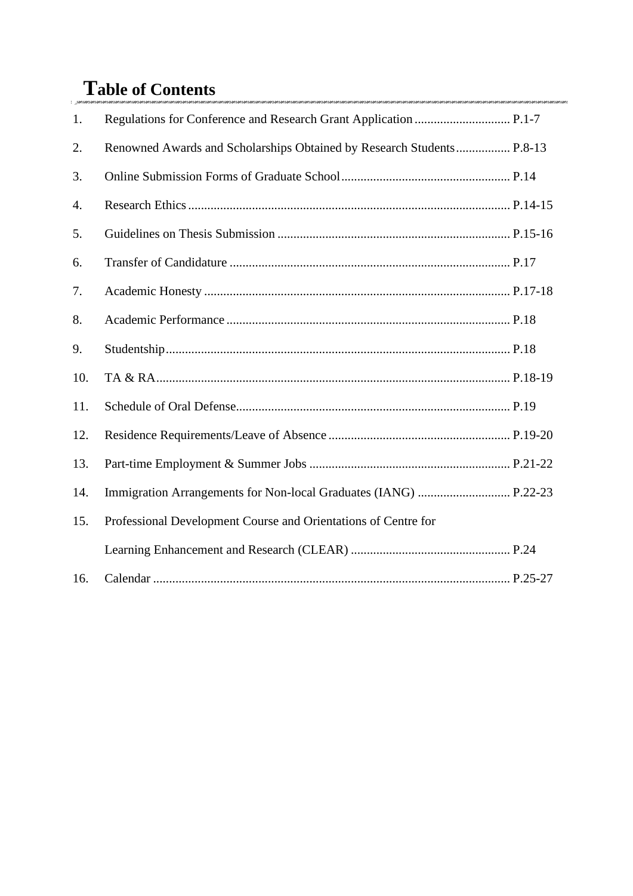# **Table of Contents**

| 1.  |                                                                       |
|-----|-----------------------------------------------------------------------|
| 2.  | Renowned Awards and Scholarships Obtained by Research Students P.8-13 |
| 3.  |                                                                       |
| 4.  |                                                                       |
| 5.  |                                                                       |
| 6.  |                                                                       |
| 7.  |                                                                       |
| 8.  |                                                                       |
| 9.  |                                                                       |
| 10. |                                                                       |
| 11. |                                                                       |
| 12. |                                                                       |
| 13. |                                                                       |
| 14. |                                                                       |
| 15. | Professional Development Course and Orientations of Centre for        |
|     |                                                                       |
| 16. |                                                                       |

mi.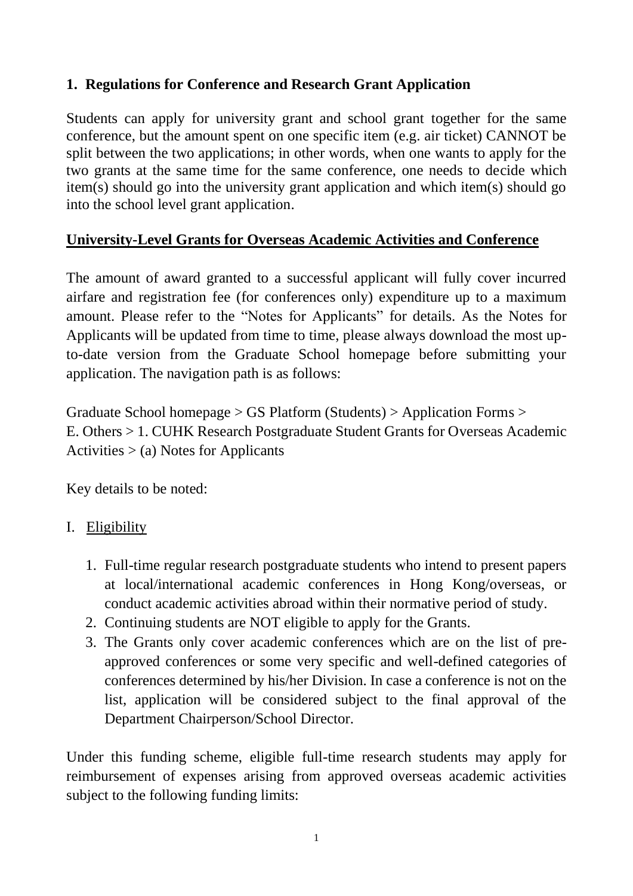## **1. Regulations for Conference and Research Grant Application**

Students can apply for university grant and school grant together for the same conference, but the amount spent on one specific item (e.g. air ticket) CANNOT be split between the two applications; in other words, when one wants to apply for the two grants at the same time for the same conference, one needs to decide which item(s) should go into the university grant application and which item(s) should go into the school level grant application.

## **University-Level Grants for Overseas Academic Activities and Conference**

The amount of award granted to a successful applicant will fully cover incurred airfare and registration fee (for conferences only) expenditure up to a maximum amount. Please refer to the "Notes for Applicants" for details. As the Notes for Applicants will be updated from time to time, please always download the most upto-date version from the Graduate School homepage before submitting your application. The navigation path is as follows:

Graduate School homepage > GS Platform (Students) > Application Forms > E. Others > 1. CUHK Research Postgraduate Student Grants for Overseas Academic Activities  $>$  (a) Notes for Applicants

Key details to be noted:

## I. Eligibility

- 1. Full-time regular research postgraduate students who intend to present papers at local/international academic conferences in Hong Kong/overseas, or conduct academic activities abroad within their normative period of study.
- 2. Continuing students are NOT eligible to apply for the Grants.
- 3. The Grants only cover academic conferences which are on the list of preapproved conferences or some very specific and well-defined categories of conferences determined by his/her Division. In case a conference is not on the list, application will be considered subject to the final approval of the Department Chairperson/School Director.

Under this funding scheme, eligible full-time research students may apply for reimbursement of expenses arising from approved overseas academic activities subject to the following funding limits: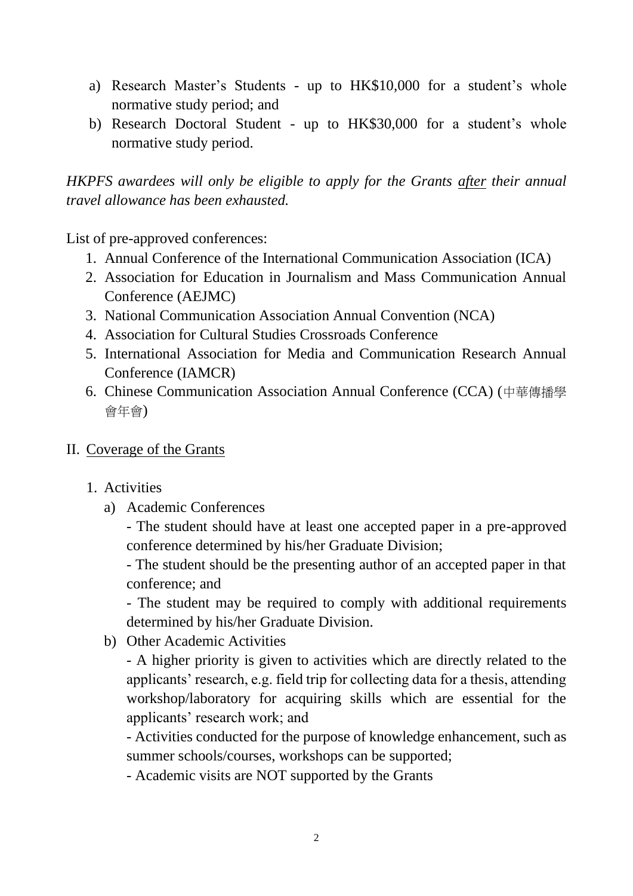- a) Research Master's Students up to HK\$10,000 for a student's whole normative study period; and
- b) Research Doctoral Student up to HK\$30,000 for a student's whole normative study period.

*HKPFS awardees will only be eligible to apply for the Grants after their annual travel allowance has been exhausted.*

List of pre-approved conferences:

- 1. Annual Conference of the International Communication Association (ICA)
- 2. Association for Education in Journalism and Mass Communication Annual Conference (AEJMC)
- 3. National Communication Association Annual Convention (NCA)
- 4. Association for Cultural Studies Crossroads Conference
- 5. International Association for Media and Communication Research Annual Conference (IAMCR)
- 6. Chinese Communication Association Annual Conference (CCA) (中華傳播學 會年會)
- II. Coverage of the Grants
	- 1. Activities
		- a) Academic Conferences

- The student should have at least one accepted paper in a pre-approved conference determined by his/her Graduate Division;

- The student should be the presenting author of an accepted paper in that conference; and

- The student may be required to comply with additional requirements determined by his/her Graduate Division.

b) Other Academic Activities

- A higher priority is given to activities which are directly related to the applicants' research, e.g. field trip for collecting data for a thesis, attending workshop/laboratory for acquiring skills which are essential for the applicants' research work; and

- Activities conducted for the purpose of knowledge enhancement, such as summer schools/courses, workshops can be supported;

- Academic visits are NOT supported by the Grants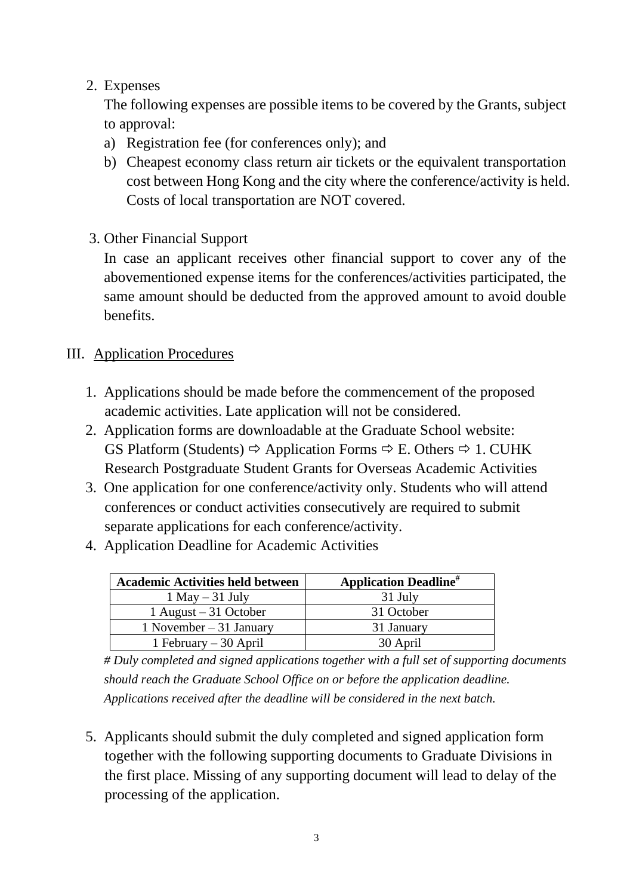## 2. Expenses

The following expenses are possible items to be covered by the Grants, subject to approval:

- a) Registration fee (for conferences only); and
- b) Cheapest economy class return air tickets or the equivalent transportation cost between Hong Kong and the city where the conference/activity is held. Costs of local transportation are NOT covered.
- 3. Other Financial Support

In case an applicant receives other financial support to cover any of the abovementioned expense items for the conferences/activities participated, the same amount should be deducted from the approved amount to avoid double benefits.

## III. Application Procedures

- 1. Applications should be made before the commencement of the proposed academic activities. Late application will not be considered.
- 2. Application forms are downloadable at the Graduate School website: GS Platform (Students)  $\Rightarrow$  Application Forms  $\Rightarrow$  E. Others  $\Rightarrow$  1. CUHK Research Postgraduate Student Grants for Overseas Academic Activities
- 3. One application for one conference/activity only. Students who will attend conferences or conduct activities consecutively are required to submit separate applications for each conference/activity.
- 4. Application Deadline for Academic Activities

| <b>Academic Activities held between</b> | <b>Application Deadline</b> <sup>#</sup> |
|-----------------------------------------|------------------------------------------|
| $1$ May $-31$ July                      | 31 July                                  |
| 1 August $-31$ October                  | 31 October                               |
| 1 November $-31$ January                | 31 January                               |
| 1 February $-30$ April                  | 30 April                                 |

*# Duly completed and signed applications together with a full set of supporting documents should reach the Graduate School Office on or before the application deadline. Applications received after the deadline will be considered in the next batch.*

5. Applicants should submit the duly completed and signed application form together with the following supporting documents to Graduate Divisions in the first place. Missing of any supporting document will lead to delay of the processing of the application.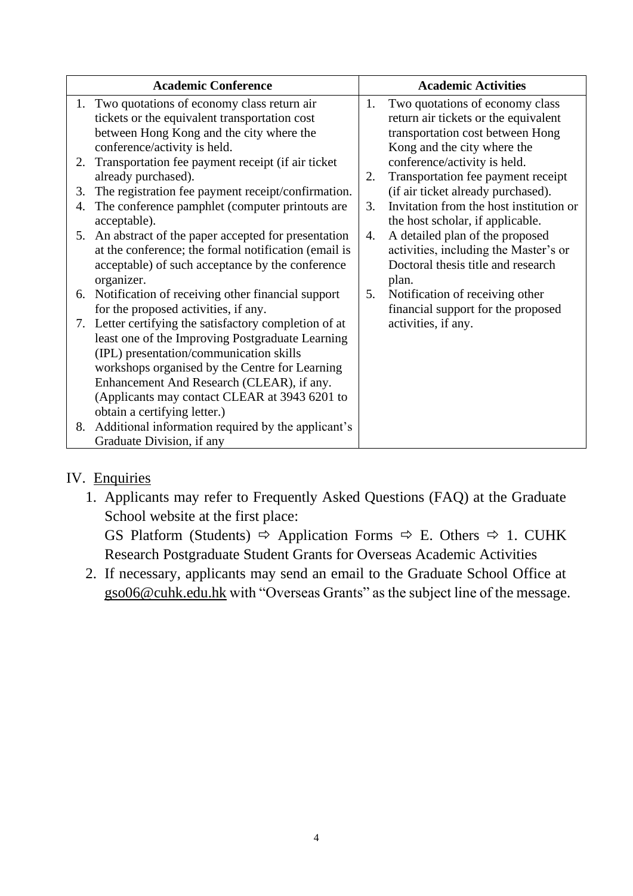|    | <b>Academic Conference</b>                           |    | <b>Academic Activities</b>              |
|----|------------------------------------------------------|----|-----------------------------------------|
|    | 1. Two quotations of economy class return air        | 1. | Two quotations of economy class         |
|    | tickets or the equivalent transportation cost        |    | return air tickets or the equivalent    |
|    | between Hong Kong and the city where the             |    | transportation cost between Hong        |
|    | conference/activity is held.                         |    | Kong and the city where the             |
| 2. | Transportation fee payment receipt (if air ticket    |    | conference/activity is held.            |
|    | already purchased).                                  | 2. | Transportation fee payment receipt      |
| 3. | The registration fee payment receipt/confirmation.   |    | (if air ticket already purchased).      |
| 4. | The conference pamphlet (computer printouts are      | 3. | Invitation from the host institution or |
|    | acceptable).                                         |    | the host scholar, if applicable.        |
| 5. | An abstract of the paper accepted for presentation   | 4. | A detailed plan of the proposed         |
|    | at the conference; the formal notification (email is |    | activities, including the Master's or   |
|    | acceptable) of such acceptance by the conference     |    | Doctoral thesis title and research      |
|    | organizer.                                           |    | plan.                                   |
|    | 6. Notification of receiving other financial support | 5. | Notification of receiving other         |
|    | for the proposed activities, if any.                 |    | financial support for the proposed      |
| 7. | Letter certifying the satisfactory completion of at  |    | activities, if any.                     |
|    | least one of the Improving Postgraduate Learning     |    |                                         |
|    | (IPL) presentation/communication skills              |    |                                         |
|    | workshops organised by the Centre for Learning       |    |                                         |
|    | Enhancement And Research (CLEAR), if any.            |    |                                         |
|    | (Applicants may contact CLEAR at 3943 6201 to        |    |                                         |
|    | obtain a certifying letter.)                         |    |                                         |
| 8. | Additional information required by the applicant's   |    |                                         |
|    | Graduate Division, if any                            |    |                                         |

## IV. Enquiries

1. Applicants may refer to Frequently Asked Questions (FAQ) at the Graduate School website at the first place:

GS Platform (Students)  $\Rightarrow$  Application Forms  $\Rightarrow$  E. Others  $\Rightarrow$  1. CUHK Research Postgraduate Student Grants for Overseas Academic Activities

2. If necessary, applicants may send an email to the Graduate School Office at [gso06@cuhk.edu.hk](mailto:gso06@cuhk.edu.hk) with "Overseas Grants" as the subject line of the message.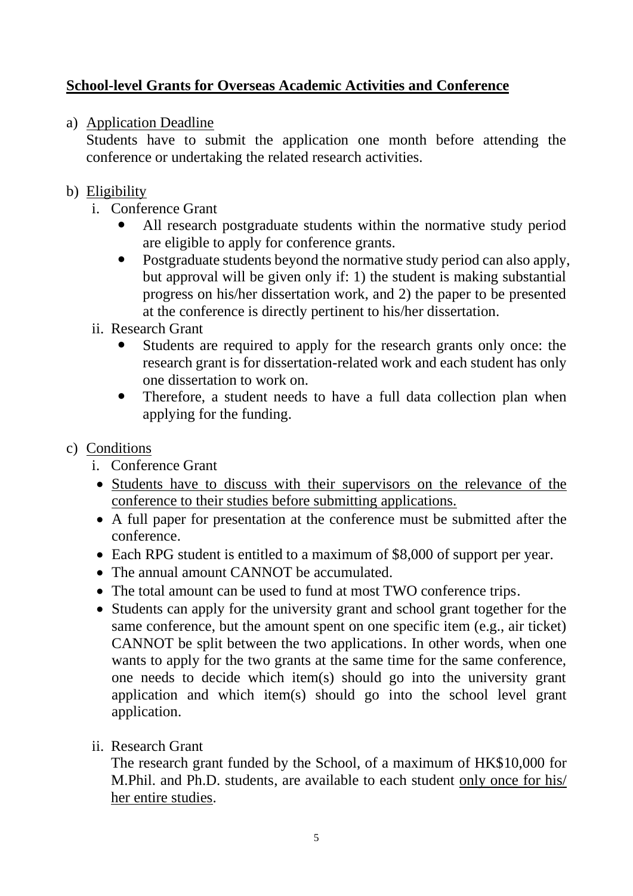## **School-level Grants for Overseas Academic Activities and Conference**

## a) Application Deadline

Students have to submit the application one month before attending the conference or undertaking the related research activities.

## b) Eligibility

- i. Conference Grant
	- All research postgraduate students within the normative study period are eligible to apply for conference grants.
	- Postgraduate students beyond the normative study period can also apply, but approval will be given only if: 1) the student is making substantial progress on his/her dissertation work, and 2) the paper to be presented at the conference is directly pertinent to his/her dissertation.
- ii. Research Grant
	- Students are required to apply for the research grants only once: the research grant is for dissertation-related work and each student has only one dissertation to work on.
	- Therefore, a student needs to have a full data collection plan when applying for the funding.

## c) Conditions

- i. Conference Grant
- Students have to discuss with their supervisors on the relevance of the conference to their studies before submitting applications.
- A full paper for presentation at the conference must be submitted after the conference.
- Each RPG student is entitled to a maximum of \$8,000 of support per year.
- The annual amount CANNOT be accumulated.
- The total amount can be used to fund at most TWO conference trips.
- Students can apply for the university grant and school grant together for the same conference, but the amount spent on one specific item (e.g., air ticket) CANNOT be split between the two applications. In other words, when one wants to apply for the two grants at the same time for the same conference, one needs to decide which item(s) should go into the university grant application and which item(s) should go into the school level grant application.
- ii. Research Grant

The research grant funded by the School, of a maximum of HK\$10,000 for M.Phil. and Ph.D. students, are available to each student only once for his/ her entire studies.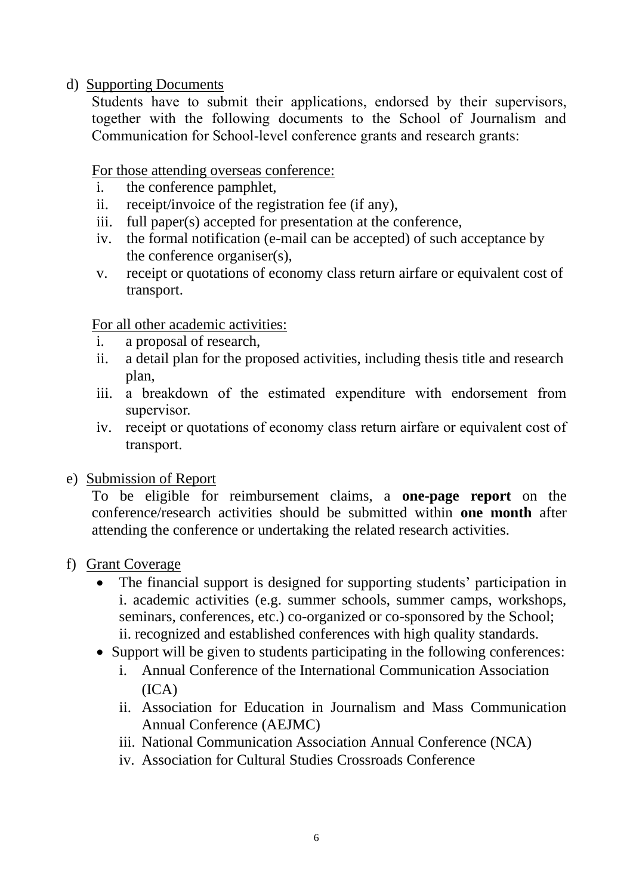d) Supporting Documents

Students have to submit their applications, endorsed by their supervisors, together with the following documents to the School of Journalism and Communication for School-level conference grants and research grants:

For those attending overseas conference:

- i. the conference pamphlet,
- ii. receipt/invoice of the registration fee (if any),
- iii. full paper(s) accepted for presentation at the conference,
- iv. the formal notification (e-mail can be accepted) of such acceptance by the conference organiser(s),
- v. receipt or quotations of economy class return airfare or equivalent cost of transport.

For all other academic activities:

- i. a proposal of research,
- ii. a detail plan for the proposed activities, including thesis title and research plan,
- iii. a breakdown of the estimated expenditure with endorsement from supervisor.
- iv. receipt or quotations of economy class return airfare or equivalent cost of transport.
- e) Submission of Report

To be eligible for reimbursement claims, a **one-page report** on the conference/research activities should be submitted within **one month** after attending the conference or undertaking the related research activities.

#### f) Grant Coverage

- The financial support is designed for supporting students' participation in i. academic activities (e.g. summer schools, summer camps, workshops, seminars, conferences, etc.) co-organized or co-sponsored by the School; ii. recognized and established conferences with high quality standards.
- Support will be given to students participating in the following conferences:
	- i. Annual Conference of the International Communication Association  $(ICA)$
	- ii. Association for Education in Journalism and Mass Communication Annual Conference (AEJMC)
	- iii. National Communication Association Annual Conference (NCA)
	- iv. Association for Cultural Studies Crossroads Conference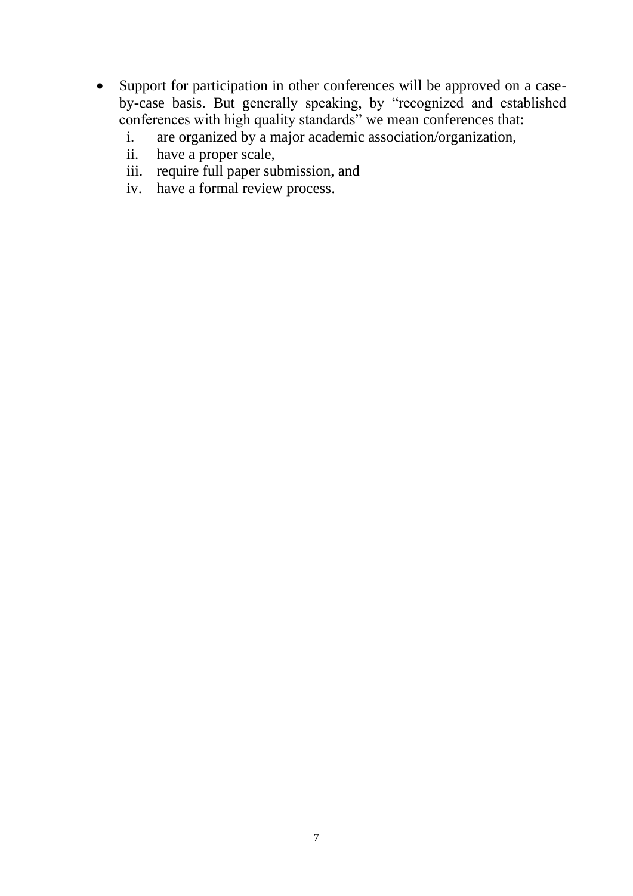- Support for participation in other conferences will be approved on a caseby-case basis. But generally speaking, by "recognized and established conferences with high quality standards" we mean conferences that:
	- i. are organized by a major academic association/organization,
	- ii. have a proper scale,
	- iii. require full paper submission, and
	- iv. have a formal review process.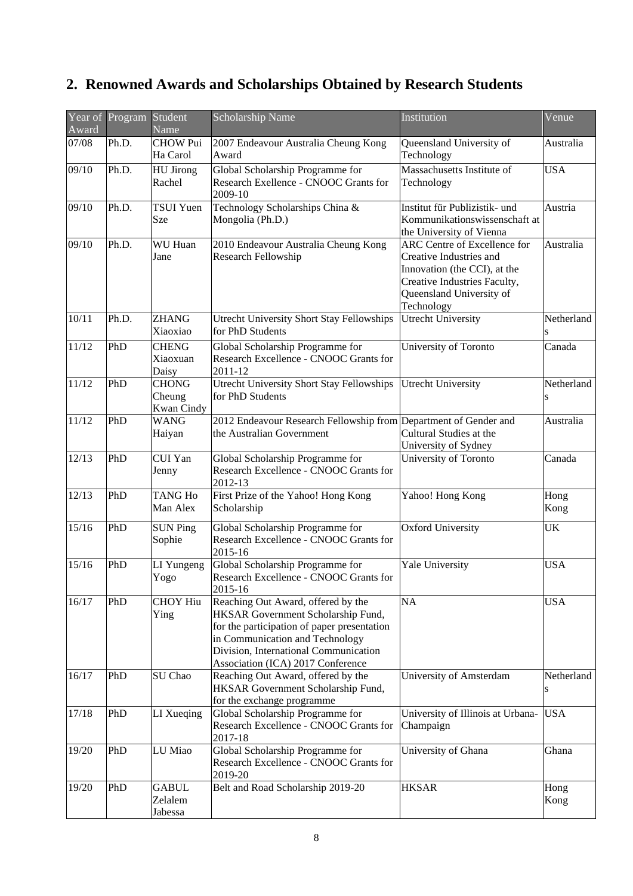# **2. Renowned Awards and Scholarships Obtained by Research Students**

| Award | Year of Program | Student<br>Name                      | Scholarship Name                                                                                                                                                                                                                         | Institution                                                                                                                                                       | Venue           |
|-------|-----------------|--------------------------------------|------------------------------------------------------------------------------------------------------------------------------------------------------------------------------------------------------------------------------------------|-------------------------------------------------------------------------------------------------------------------------------------------------------------------|-----------------|
| 07/08 | Ph.D.           | <b>CHOW Pui</b><br>Ha Carol          | 2007 Endeavour Australia Cheung Kong<br>Award                                                                                                                                                                                            | Queensland University of<br>Technology                                                                                                                            | Australia       |
| 09/10 | Ph.D.           | <b>HU</b> Jirong<br>Rachel           | Global Scholarship Programme for<br>Research Exellence - CNOOC Grants for<br>2009-10                                                                                                                                                     | Massachusetts Institute of<br>Technology                                                                                                                          | <b>USA</b>      |
| 09/10 | Ph.D.           | <b>TSUI Yuen</b><br>Sze              | Technology Scholarships China &<br>Mongolia (Ph.D.)                                                                                                                                                                                      | Institut für Publizistik- und<br>Kommunikationswissenschaft at<br>the University of Vienna                                                                        | Austria         |
| 09/10 | Ph.D.           | WU Huan<br>Jane                      | 2010 Endeavour Australia Cheung Kong<br><b>Research Fellowship</b>                                                                                                                                                                       | ARC Centre of Excellence for<br>Creative Industries and<br>Innovation (the CCI), at the<br>Creative Industries Faculty,<br>Queensland University of<br>Technology |                 |
| 10/11 | Ph.D.           | <b>ZHANG</b><br>Xiaoxiao             | Utrecht University Short Stay Fellowships<br>for PhD Students                                                                                                                                                                            | <b>Utrecht University</b>                                                                                                                                         | Netherland<br>S |
| 11/12 | PhD             | <b>CHENG</b><br>Xiaoxuan<br>Daisy    | Global Scholarship Programme for<br>Research Excellence - CNOOC Grants for<br>2011-12                                                                                                                                                    | University of Toronto                                                                                                                                             | Canada          |
| 11/12 | PhD             | <b>CHONG</b><br>Cheung<br>Kwan Cindy | <b>Utrecht University Short Stay Fellowships</b><br>for PhD Students                                                                                                                                                                     | <b>Utrecht University</b>                                                                                                                                         | Netherland<br>S |
| 11/12 | PhD             | <b>WANG</b><br>Haiyan                | 2012 Endeavour Research Fellowship from Department of Gender and<br>the Australian Government                                                                                                                                            | Cultural Studies at the<br>University of Sydney                                                                                                                   | Australia       |
| 12/13 | PhD             | CUI Yan<br>Jenny                     | Global Scholarship Programme for<br>Research Excellence - CNOOC Grants for<br>2012-13                                                                                                                                                    | University of Toronto                                                                                                                                             | Canada          |
| 12/13 | PhD             | <b>TANG Ho</b><br>Man Alex           | First Prize of the Yahoo! Hong Kong<br>Scholarship                                                                                                                                                                                       | Yahoo! Hong Kong                                                                                                                                                  | Hong<br>Kong    |
| 15/16 | PhD             | <b>SUN Ping</b><br>Sophie            | Global Scholarship Programme for<br>Research Excellence - CNOOC Grants for<br>2015-16                                                                                                                                                    | <b>Oxford University</b>                                                                                                                                          | UK              |
| 15/16 | PhD             | LI Yungeng<br>Yogo                   | Global Scholarship Programme for<br>Research Excellence - CNOOC Grants for<br>2015-16                                                                                                                                                    | Yale University                                                                                                                                                   | <b>USA</b>      |
| 16/17 | PhD             | <b>CHOY Hiu</b><br>Ying              | Reaching Out Award, offered by the<br>HKSAR Government Scholarship Fund,<br>for the participation of paper presentation<br>in Communication and Technology<br>Division, International Communication<br>Association (ICA) 2017 Conference | <b>NA</b>                                                                                                                                                         | <b>USA</b>      |
| 16/17 | PhD             | SU Chao                              | Reaching Out Award, offered by the<br>HKSAR Government Scholarship Fund,<br>for the exchange programme                                                                                                                                   | University of Amsterdam                                                                                                                                           | Netherland<br>S |
| 17/18 | PhD             | LI Xueqing                           | Global Scholarship Programme for<br>Research Excellence - CNOOC Grants for<br>2017-18                                                                                                                                                    | University of Illinois at Urbana-<br>Champaign                                                                                                                    | <b>USA</b>      |
| 19/20 | PhD             | LU Miao                              | Global Scholarship Programme for<br>Research Excellence - CNOOC Grants for<br>2019-20                                                                                                                                                    | University of Ghana                                                                                                                                               | Ghana           |
| 19/20 | PhD             | <b>GABUL</b><br>Zelalem<br>Jabessa   | Belt and Road Scholarship 2019-20                                                                                                                                                                                                        | <b>HKSAR</b>                                                                                                                                                      | Hong<br>Kong    |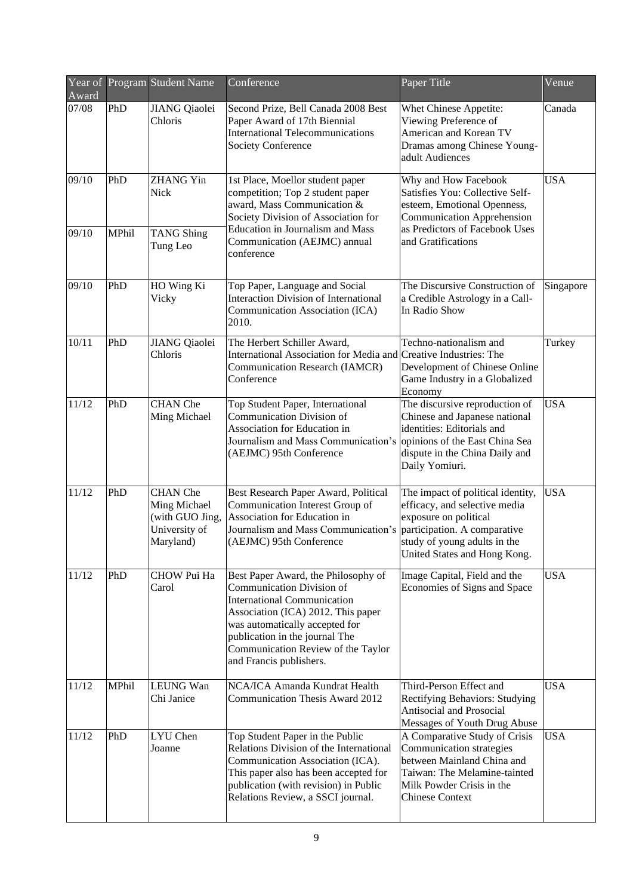| Award | Year of Program Student Name<br>Conference |                                                                                  |                                                                                                                                                                                                                                                                                   | Paper Title                                                                                                                                                                                 |            |  |  |
|-------|--------------------------------------------|----------------------------------------------------------------------------------|-----------------------------------------------------------------------------------------------------------------------------------------------------------------------------------------------------------------------------------------------------------------------------------|---------------------------------------------------------------------------------------------------------------------------------------------------------------------------------------------|------------|--|--|
| 07/08 | PhD                                        | <b>JIANG</b> Qiaolei<br>Chloris                                                  | Second Prize, Bell Canada 2008 Best<br>Paper Award of 17th Biennial<br><b>International Telecommunications</b><br><b>Society Conference</b>                                                                                                                                       | Whet Chinese Appetite:<br>Viewing Preference of<br>American and Korean TV<br>Dramas among Chinese Young-<br>adult Audiences                                                                 | Canada     |  |  |
| 09/10 | PhD                                        | <b>ZHANG Yin</b><br>Nick                                                         | 1st Place, Moellor student paper<br>competition; Top 2 student paper<br>award, Mass Communication &<br>Society Division of Association for                                                                                                                                        | Why and How Facebook<br>Satisfies You: Collective Self-<br>esteem, Emotional Openness,<br><b>Communication Apprehension</b>                                                                 | <b>USA</b> |  |  |
| 09/10 | MPhil                                      | <b>TANG Shing</b><br>Tung Leo                                                    | <b>Education in Journalism and Mass</b><br>Communication (AEJMC) annual<br>conference                                                                                                                                                                                             | as Predictors of Facebook Uses<br>and Gratifications                                                                                                                                        |            |  |  |
| 09/10 | PhD                                        | HO Wing Ki<br>Vicky                                                              | Top Paper, Language and Social<br><b>Interaction Division of International</b><br>Communication Association (ICA)<br>2010.                                                                                                                                                        | The Discursive Construction of<br>a Credible Astrology in a Call-<br>In Radio Show                                                                                                          | Singapore  |  |  |
| 10/11 | PhD                                        | <b>JIANG Qiaolei</b><br>Chloris                                                  | The Herbert Schiller Award,<br>International Association for Media and Creative Industries: The<br>Communication Research (IAMCR)<br>Conference                                                                                                                                   | Techno-nationalism and<br>Development of Chinese Online<br>Game Industry in a Globalized<br>Economy                                                                                         | Turkey     |  |  |
| 11/12 | PhD                                        | <b>CHAN</b> Che<br>Ming Michael                                                  | Top Student Paper, International<br>Communication Division of<br>Association for Education in<br>Journalism and Mass Communication's<br>(AEJMC) 95th Conference                                                                                                                   | The discursive reproduction of<br>Chinese and Japanese national<br>identities: Editorials and<br>opinions of the East China Sea<br>dispute in the China Daily and<br>Daily Yomiuri.         | <b>USA</b> |  |  |
| 11/12 | PhD                                        | <b>CHAN</b> Che<br>Ming Michael<br>(with GUO Jing,<br>University of<br>Maryland) | Best Research Paper Award, Political<br>Communication Interest Group of<br>Association for Education in<br>Journalism and Mass Communication's<br>(AEJMC) 95th Conference                                                                                                         | The impact of political identity,<br>efficacy, and selective media<br>exposure on political<br>participation. A comparative<br>study of young adults in the<br>United States and Hong Kong. | <b>USA</b> |  |  |
| 11/12 | PhD                                        | CHOW Pui Ha<br>Carol                                                             | Best Paper Award, the Philosophy of<br>Communication Division of<br><b>International Communication</b><br>Association (ICA) 2012. This paper<br>was automatically accepted for<br>publication in the journal The<br>Communication Review of the Taylor<br>and Francis publishers. | Image Capital, Field and the<br>Economies of Signs and Space                                                                                                                                | <b>USA</b> |  |  |
| 11/12 | MPhil                                      | <b>LEUNG Wan</b><br>Chi Janice                                                   | NCA/ICA Amanda Kundrat Health<br>Communication Thesis Award 2012                                                                                                                                                                                                                  | Third-Person Effect and<br>Rectifying Behaviors: Studying<br>Antisocial and Prosocial<br>Messages of Youth Drug Abuse                                                                       | <b>USA</b> |  |  |
| 11/12 | PhD                                        | LYU Chen<br>Joanne                                                               | Top Student Paper in the Public<br>Relations Division of the International<br>Communication Association (ICA).<br>This paper also has been accepted for<br>publication (with revision) in Public<br>Relations Review, a SSCI journal.                                             | A Comparative Study of Crisis<br>Communication strategies<br>between Mainland China and<br>Taiwan: The Melamine-tainted<br>Milk Powder Crisis in the<br><b>Chinese Context</b>              | <b>USA</b> |  |  |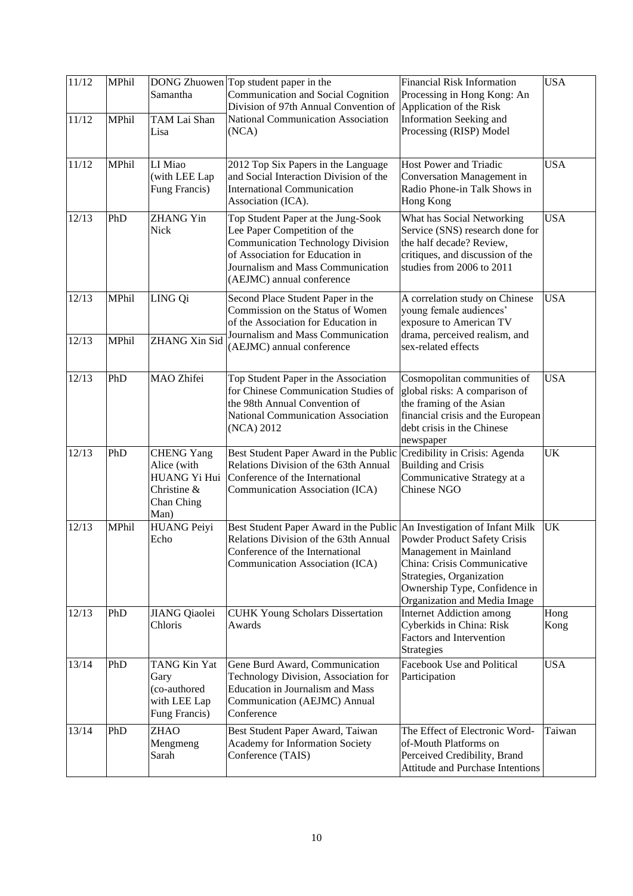| 11/12<br>MPhil<br>Samantha |                |                                                                                       | DONG Zhuowen Top student paper in the<br>Communication and Social Cognition<br>Division of 97th Annual Convention of                                                                                                                           | <b>Financial Risk Information</b><br>Processing in Hong Kong: An<br>Application of the Risk                                                                                        | <b>USA</b>   |
|----------------------------|----------------|---------------------------------------------------------------------------------------|------------------------------------------------------------------------------------------------------------------------------------------------------------------------------------------------------------------------------------------------|------------------------------------------------------------------------------------------------------------------------------------------------------------------------------------|--------------|
| 11/12                      | MPhil          | TAM Lai Shan<br>Lisa                                                                  | National Communication Association<br>Information Seeking and<br>Processing (RISP) Model<br>(NCA)                                                                                                                                              |                                                                                                                                                                                    |              |
| 11/12                      | MPhil          | LI Miao<br>(with LEE Lap<br>Fung Francis)                                             | 2012 Top Six Papers in the Language<br>Host Power and Triadic<br>and Social Interaction Division of the<br>Conversation Management in<br><b>International Communication</b><br>Radio Phone-in Talk Shows in<br>Hong Kong<br>Association (ICA). |                                                                                                                                                                                    | <b>USA</b>   |
| 12/13                      | PhD            | <b>ZHANG Yin</b><br>Nick                                                              | Top Student Paper at the Jung-Sook<br>Lee Paper Competition of the<br><b>Communication Technology Division</b><br>of Association for Education in<br>Journalism and Mass Communication<br>(AEJMC) annual conference                            | What has Social Networking<br>Service (SNS) research done for<br>the half decade? Review,<br>critiques, and discussion of the<br>studies from 2006 to 2011                         | <b>USA</b>   |
| 12/13<br>12/13             | MPhil<br>MPhil | LING Qi<br><b>ZHANG Xin Sid</b>                                                       | Second Place Student Paper in the<br>Commission on the Status of Women<br>of the Association for Education in<br>Journalism and Mass Communication                                                                                             | A correlation study on Chinese<br>young female audiences'<br>exposure to American TV<br>drama, perceived realism, and                                                              | <b>USA</b>   |
|                            |                |                                                                                       | (AEJMC) annual conference                                                                                                                                                                                                                      | sex-related effects                                                                                                                                                                |              |
| 12/13                      | PhD            | MAO Zhifei                                                                            | Top Student Paper in the Association<br>for Chinese Communication Studies of<br>the 98th Annual Convention of<br>National Communication Association<br>(NCA) 2012                                                                              | Cosmopolitan communities of<br>global risks: A comparison of<br>the framing of the Asian<br>financial crisis and the European<br>debt crisis in the Chinese<br>newspaper           | <b>USA</b>   |
| 12/13                      | PhD            | <b>CHENG Yang</b><br>Alice (with<br>HUANG Yi Hui<br>Christine &<br>Chan Ching<br>Man) | Best Student Paper Award in the Public<br>Relations Division of the 63th Annual<br>Conference of the International<br>Communication Association (ICA)                                                                                          | Credibility in Crisis: Agenda<br><b>Building and Crisis</b><br>Communicative Strategy at a<br><b>Chinese NGO</b>                                                                   | UK           |
| 12/13                      | MPhil          | <b>HUANG Peiyi</b><br>Echo                                                            | Best Student Paper Award in the Public An Investigation of Infant Milk<br>Relations Division of the 63th Annual<br>Conference of the International<br>Communication Association (ICA)                                                          | Powder Product Safety Crisis<br>Management in Mainland<br>China: Crisis Communicative<br>Strategies, Organization<br>Ownership Type, Confidence in<br>Organization and Media Image | UK           |
| 12/13                      | PhD            | <b>JIANG</b> Qiaolei<br>Chloris                                                       | <b>CUHK Young Scholars Dissertation</b><br>Awards                                                                                                                                                                                              | <b>Internet Addiction among</b><br>Cyberkids in China: Risk<br>Factors and Intervention<br><b>Strategies</b>                                                                       | Hong<br>Kong |
| 13/14                      | PhD            | TANG Kin Yat<br>Gary<br>(co-authored<br>with LEE Lap<br>Fung Francis)                 | Gene Burd Award, Communication<br>Technology Division, Association for<br><b>Education in Journalism and Mass</b><br>Communication (AEJMC) Annual<br>Conference                                                                                | Facebook Use and Political<br>Participation                                                                                                                                        | <b>USA</b>   |
| 13/14                      | PhD            | <b>ZHAO</b><br>Mengmeng<br>Sarah                                                      | Best Student Paper Award, Taiwan<br>Academy for Information Society<br>Conference (TAIS)                                                                                                                                                       | The Effect of Electronic Word-<br>of-Mouth Platforms on<br>Perceived Credibility, Brand<br>Attitude and Purchase Intentions                                                        | Taiwan       |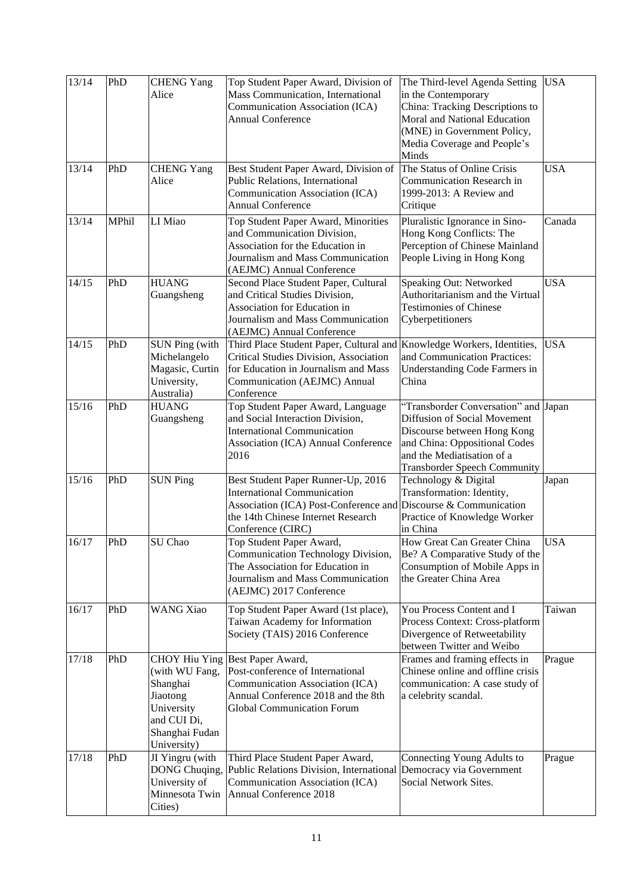| 13/14 | PhD   | <b>CHENG Yang</b><br>Alice                                                                                                   | Top Student Paper Award, Division of<br>Mass Communication, International<br>Communication Association (ICA)<br><b>Annual Conference</b>                                                               | The Third-level Agenda Setting<br>in the Contemporary<br>China: Tracking Descriptions to<br>Moral and National Education<br>(MNE) in Government Policy,<br>Media Coverage and People's<br>Minds           | <b>USA</b> |
|-------|-------|------------------------------------------------------------------------------------------------------------------------------|--------------------------------------------------------------------------------------------------------------------------------------------------------------------------------------------------------|-----------------------------------------------------------------------------------------------------------------------------------------------------------------------------------------------------------|------------|
| 13/14 | PhD   | <b>CHENG Yang</b><br>Alice                                                                                                   | Best Student Paper Award, Division of<br>Public Relations, International<br>Communication Association (ICA)<br><b>Annual Conference</b>                                                                | The Status of Online Crisis<br>Communication Research in<br>1999-2013: A Review and<br>Critique                                                                                                           | <b>USA</b> |
| 13/14 | MPhil | LI Miao                                                                                                                      | Top Student Paper Award, Minorities<br>and Communication Division,<br>Association for the Education in<br>Journalism and Mass Communication<br>(AEJMC) Annual Conference                               | Pluralistic Ignorance in Sino-<br>Hong Kong Conflicts: The<br>Perception of Chinese Mainland<br>People Living in Hong Kong                                                                                | Canada     |
| 14/15 | PhD   | <b>HUANG</b><br>Guangsheng                                                                                                   | Second Place Student Paper, Cultural<br>and Critical Studies Division,<br>Association for Education in<br>Journalism and Mass Communication<br>(AEJMC) Annual Conference                               | Speaking Out: Networked<br>Authoritarianism and the Virtual<br><b>Testimonies of Chinese</b><br>Cyberpetitioners                                                                                          | <b>USA</b> |
| 14/15 | PhD   | <b>SUN Ping (with</b><br>Michelangelo<br>Magasic, Curtin<br>University,<br>Australia)                                        | Third Place Student Paper, Cultural and<br>Critical Studies Division, Association<br>for Education in Journalism and Mass<br>Communication (AEJMC) Annual<br>Conference                                | Knowledge Workers, Identities,<br>and Communication Practices:<br>Understanding Code Farmers in<br>China                                                                                                  | <b>USA</b> |
| 15/16 | PhD   | <b>HUANG</b><br>Guangsheng                                                                                                   | Top Student Paper Award, Language<br>and Social Interaction Division,<br><b>International Communication</b><br>Association (ICA) Annual Conference<br>2016                                             | "Transborder Conversation" and Japan<br>Diffusion of Social Movement<br>Discourse between Hong Kong<br>and China: Oppositional Codes<br>and the Mediatisation of a<br><b>Transborder Speech Community</b> |            |
| 15/16 | PhD   | <b>SUN Ping</b>                                                                                                              | Best Student Paper Runner-Up, 2016<br><b>International Communication</b><br>Association (ICA) Post-Conference and Discourse & Communication<br>the 14th Chinese Internet Research<br>Conference (CIRC) | Technology & Digital<br>Transformation: Identity,<br>Practice of Knowledge Worker<br>in China                                                                                                             | Japan      |
| 16/17 | PhD   | SU Chao                                                                                                                      | Top Student Paper Award,<br>Communication Technology Division,<br>The Association for Education in<br>Journalism and Mass Communication<br>(AEJMC) 2017 Conference                                     | How Great Can Greater China<br>Be? A Comparative Study of the<br>Consumption of Mobile Apps in<br>the Greater China Area                                                                                  | <b>USA</b> |
| 16/17 | PhD   | <b>WANG Xiao</b>                                                                                                             | Top Student Paper Award (1st place),<br>Taiwan Academy for Information<br>Society (TAIS) 2016 Conference                                                                                               | You Process Content and I<br>Process Context: Cross-platform<br>Divergence of Retweetability<br>between Twitter and Weibo                                                                                 | Taiwan     |
| 17/18 | PhD   | <b>CHOY Hiu Ying</b><br>(with WU Fang,<br>Shanghai<br>Jiaotong<br>University<br>and CUI Di,<br>Shanghai Fudan<br>University) | Best Paper Award,<br>Post-conference of International<br>Communication Association (ICA)<br>Annual Conference 2018 and the 8th<br><b>Global Communication Forum</b>                                    | Frames and framing effects in<br>Chinese online and offline crisis<br>communication: A case study of<br>a celebrity scandal.                                                                              | Prague     |
| 17/18 | PhD   | JI Yingru (with<br>DONG Chuqing,<br>University of<br>Minnesota Twin<br>Cities)                                               | Third Place Student Paper Award,<br>Public Relations Division, International<br>Communication Association (ICA)<br>Annual Conference 2018                                                              | Connecting Young Adults to<br>Democracy via Government<br>Social Network Sites.                                                                                                                           | Prague     |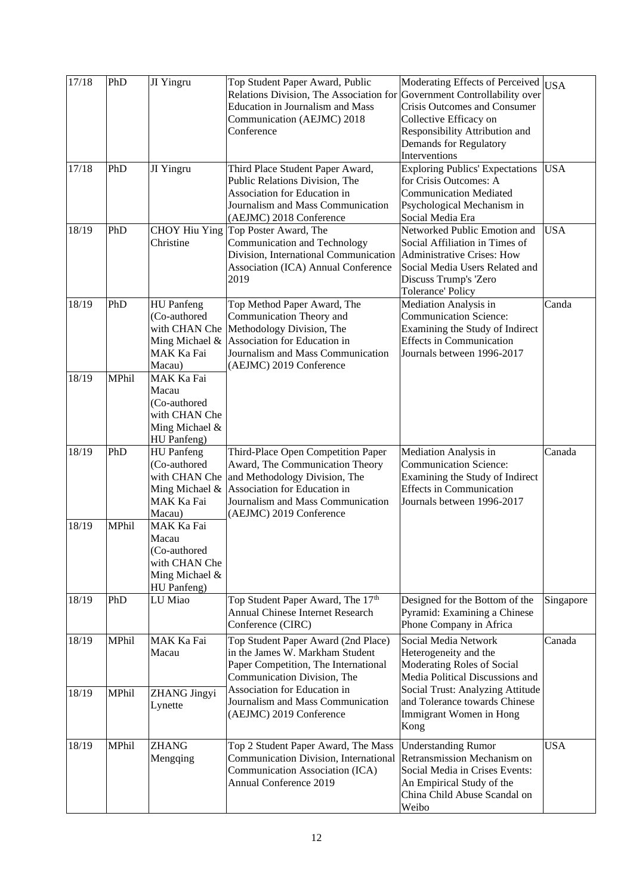| 17/18 | PhD   | JI Yingru                                                                                    | Top Student Paper Award, Public<br>Relations Division, The Association for<br><b>Education in Journalism and Mass</b><br>Communication (AEJMC) 2018<br>Conference                                      | Moderating Effects of Perceived<br>Government Controllability over<br><b>Crisis Outcomes and Consumer</b><br>Collective Efficacy on<br>Responsibility Attribution and<br>Demands for Regulatory<br>Interventions | <b>USA</b> |
|-------|-------|----------------------------------------------------------------------------------------------|--------------------------------------------------------------------------------------------------------------------------------------------------------------------------------------------------------|------------------------------------------------------------------------------------------------------------------------------------------------------------------------------------------------------------------|------------|
| 17/18 | PhD   | JI Yingru                                                                                    | Third Place Student Paper Award,<br>Public Relations Division, The<br>Association for Education in<br>Journalism and Mass Communication<br>(AEJMC) 2018 Conference                                     | <b>Exploring Publics' Expectations</b><br>for Crisis Outcomes: A<br><b>Communication Mediated</b><br>Psychological Mechanism in<br>Social Media Era                                                              | <b>USA</b> |
| 18/19 | PhD   | <b>CHOY</b> Hiu Ying<br>Christine                                                            | Top Poster Award, The<br>Communication and Technology<br>Division, International Communication<br>Association (ICA) Annual Conference<br>2019                                                          | Networked Public Emotion and<br>Social Affiliation in Times of<br><b>Administrative Crises: How</b><br>Social Media Users Related and<br>Discuss Trump's 'Zero<br><b>Tolerance' Policy</b>                       | <b>USA</b> |
| 18/19 | PhD   | <b>HU</b> Panfeng<br>(Co-authored<br>with CHAN Che<br>Ming Michael &<br>MAK Ka Fai<br>Macau) | Top Method Paper Award, The<br>Communication Theory and<br>Methodology Division, The<br>Association for Education in<br>Journalism and Mass Communication<br>(AEJMC) 2019 Conference                   | Mediation Analysis in<br><b>Communication Science:</b><br>Examining the Study of Indirect<br><b>Effects</b> in Communication<br>Journals between 1996-2017                                                       | Canda      |
| 18/19 | MPhil | MAK Ka Fai<br>Macau<br>(Co-authored<br>with CHAN Che<br>Ming Michael &<br>HU Panfeng)        |                                                                                                                                                                                                        |                                                                                                                                                                                                                  |            |
| 18/19 | PhD   | <b>HU</b> Panfeng<br>(Co-authored<br>with CHAN Che<br>Ming Michael &<br>MAK Ka Fai<br>Macau) | Third-Place Open Competition Paper<br>Award, The Communication Theory<br>and Methodology Division, The<br>Association for Education in<br>Journalism and Mass Communication<br>(AEJMC) 2019 Conference | Mediation Analysis in<br><b>Communication Science:</b><br>Examining the Study of Indirect<br><b>Effects</b> in Communication<br>Journals between 1996-2017                                                       | Canada     |
| 18/19 | MPhil | MAK Ka Fai<br>Macau<br>(Co-authored<br>with CHAN Che<br>Ming Michael &<br>HU Panfeng)        |                                                                                                                                                                                                        |                                                                                                                                                                                                                  |            |
| 18/19 | PhD   | LU Miao                                                                                      | Top Student Paper Award, The 17 <sup>th</sup><br><b>Annual Chinese Internet Research</b><br>Conference (CIRC)                                                                                          | Designed for the Bottom of the<br>Pyramid: Examining a Chinese<br>Phone Company in Africa                                                                                                                        | Singapore  |
| 18/19 | MPhil | MAK Ka Fai<br>Macau                                                                          | Top Student Paper Award (2nd Place)<br>in the James W. Markham Student<br>Paper Competition, The International<br>Communication Division, The                                                          | Social Media Network<br>Heterogeneity and the<br>Moderating Roles of Social<br>Media Political Discussions and                                                                                                   | Canada     |
| 18/19 | MPhil | <b>ZHANG Jingyi</b><br>Lynette                                                               | Association for Education in<br>Journalism and Mass Communication<br>(AEJMC) 2019 Conference                                                                                                           | Social Trust: Analyzing Attitude<br>and Tolerance towards Chinese<br>Immigrant Women in Hong<br>Kong                                                                                                             |            |
| 18/19 | MPhil | <b>ZHANG</b><br>Mengqing                                                                     | Top 2 Student Paper Award, The Mass<br>Communication Division, International<br>Communication Association (ICA)<br><b>Annual Conference 2019</b>                                                       | <b>Understanding Rumor</b><br>Retransmission Mechanism on<br>Social Media in Crises Events:<br>An Empirical Study of the<br>China Child Abuse Scandal on<br>Weibo                                                | <b>USA</b> |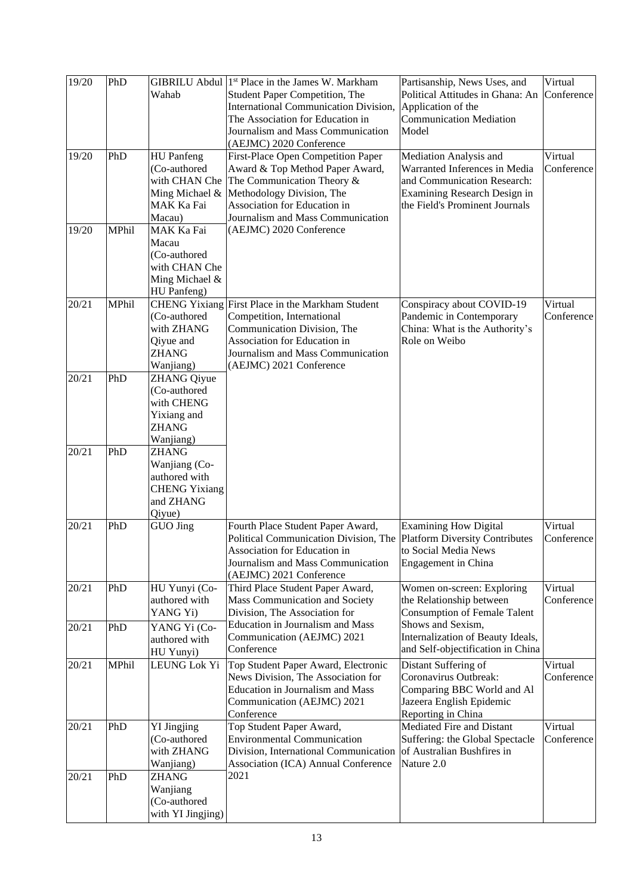| 19/20 | PhD   | Wahab                                                                                         | GIBRILU Abdul 1 <sup>st</sup> Place in the James W. Markham<br>Student Paper Competition, The<br><b>International Communication Division,</b><br>The Association for Education in<br>Journalism and Mass Communication           | Partisanship, News Uses, and<br>Political Attitudes in Ghana: An<br>Application of the<br><b>Communication Mediation</b><br>Model                        | Virtual<br>Conference |
|-------|-------|-----------------------------------------------------------------------------------------------|----------------------------------------------------------------------------------------------------------------------------------------------------------------------------------------------------------------------------------|----------------------------------------------------------------------------------------------------------------------------------------------------------|-----------------------|
| 19/20 | PhD   | <b>HU</b> Panfeng<br>(Co-authored<br>with CHAN Che<br>Ming Michael &<br>MAK Ka Fai<br>Macau)  | (AEJMC) 2020 Conference<br>First-Place Open Competition Paper<br>Award & Top Method Paper Award,<br>The Communication Theory &<br>Methodology Division, The<br>Association for Education in<br>Journalism and Mass Communication | Mediation Analysis and<br>Warranted Inferences in Media<br>and Communication Research:<br>Examining Research Design in<br>the Field's Prominent Journals | Virtual<br>Conference |
| 19/20 | MPhil | <b>MAK Ka Fai</b><br>Macau<br>(Co-authored<br>with CHAN Che<br>Ming Michael &<br>HU Panfeng)  | (AEJMC) 2020 Conference                                                                                                                                                                                                          |                                                                                                                                                          |                       |
| 20/21 | MPhil | <b>CHENG Yixiang</b><br>(Co-authored<br>with ZHANG<br>Qiyue and<br><b>ZHANG</b><br>Wanjiang)  | First Place in the Markham Student<br>Competition, International<br>Communication Division, The<br>Association for Education in<br>Journalism and Mass Communication<br>(AEJMC) 2021 Conference                                  | Conspiracy about COVID-19<br>Pandemic in Contemporary<br>China: What is the Authority's<br>Role on Weibo                                                 | Virtual<br>Conference |
| 20/21 | PhD   | <b>ZHANG Qiyue</b><br>(Co-authored<br>with CHENG<br>Yixiang and<br><b>ZHANG</b><br>Wanjiang)  |                                                                                                                                                                                                                                  |                                                                                                                                                          |                       |
| 20/21 | PhD   | <b>ZHANG</b><br>Wanjiang (Co-<br>authored with<br><b>CHENG Yixiang</b><br>and ZHANG<br>Qiyue) |                                                                                                                                                                                                                                  |                                                                                                                                                          |                       |
| 20/21 | PhD   | GUO Jing                                                                                      | Fourth Place Student Paper Award,<br>Political Communication Division, The Platform Diversity Contributes<br>Association for Education in<br>Journalism and Mass Communication<br>(AEJMC) 2021 Conference                        | <b>Examining How Digital</b><br>to Social Media News<br>Engagement in China                                                                              | Virtual<br>Conference |
| 20/21 | PhD   | HU Yunyi (Co-<br>authored with<br>YANG Yi)                                                    | Third Place Student Paper Award,<br>Mass Communication and Society<br>Division, The Association for                                                                                                                              | Women on-screen: Exploring<br>the Relationship between<br><b>Consumption of Female Talent</b>                                                            | Virtual<br>Conference |
| 20/21 | PhD   | YANG Yi (Co-<br>authored with<br>HU Yunyi)                                                    | Education in Journalism and Mass<br>Communication (AEJMC) 2021<br>Conference                                                                                                                                                     | Shows and Sexism,<br>Internalization of Beauty Ideals,<br>and Self-objectification in China                                                              |                       |
| 20/21 | MPhil | LEUNG Lok Yi                                                                                  | Top Student Paper Award, Electronic<br>News Division, The Association for<br><b>Education in Journalism and Mass</b><br>Communication (AEJMC) 2021<br>Conference                                                                 | Distant Suffering of<br>Coronavirus Outbreak:<br>Comparing BBC World and Al<br>Jazeera English Epidemic<br>Reporting in China                            | Virtual<br>Conference |
| 20/21 | PhD   | <b>YI Jingjing</b><br>(Co-authored<br>with ZHANG<br>Wanjiang)                                 | Top Student Paper Award,<br><b>Environmental Communication</b><br>Division, International Communication<br>Association (ICA) Annual Conference                                                                                   | Mediated Fire and Distant<br>Suffering: the Global Spectacle<br>of Australian Bushfires in<br>Nature 2.0                                                 | Virtual<br>Conference |
| 20/21 | PhD   | <b>ZHANG</b><br>Wanjiang<br>(Co-authored<br>with YI Jingjing)                                 | 2021                                                                                                                                                                                                                             |                                                                                                                                                          |                       |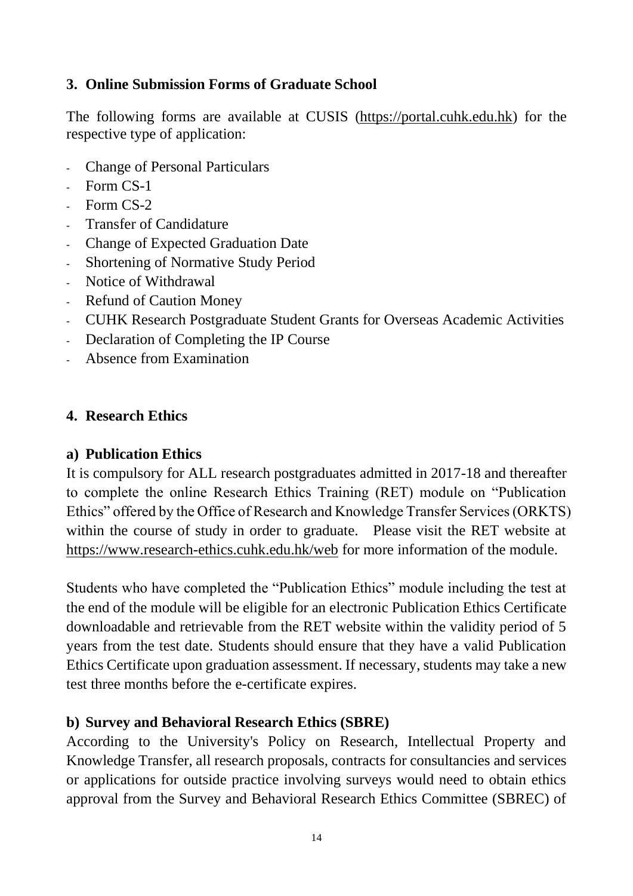## **3. Online Submission Forms of Graduate School**

The following forms are available at CUSIS [\(https://portal.cuhk.edu.hk\)](https://portal.cuhk.edu.hk/) for the respective type of application:

- Change of Personal Particulars
- Form CS-1
- Form CS-2
- Transfer of Candidature
- Change of Expected Graduation Date
- Shortening of Normative Study Period
- Notice of Withdrawal
- Refund of Caution Money
- CUHK Research Postgraduate Student Grants for Overseas Academic Activities
- Declaration of Completing the IP Course
- Absence from Examination

#### **4. Research Ethics**

#### **a) Publication Ethics**

It is compulsory for ALL research postgraduates admitted in 2017-18 and thereafter to complete the online Research Ethics Training (RET) module on "Publication Ethics" offered by the Office of Research and Knowledge Transfer Services (ORKTS) within the course of study in order to graduate. Please visit the RET website at [https://www.research-ethics.cuhk.edu.hk/web](https://www.research-ethics.cuhk.edu.hk/web/) for more information of the module.

Students who have completed the "Publication Ethics" module including the test at the end of the module will be eligible for an electronic Publication Ethics Certificate downloadable and retrievable from the RET website within the validity period of 5 years from the test date. Students should ensure that they have a valid Publication Ethics Certificate upon graduation assessment. If necessary, students may take a new test three months before the e-certificate expires.

## **b) Survey and Behavioral Research Ethics (SBRE)**

According to the University's Policy on Research, Intellectual Property and Knowledge Transfer, all research proposals, contracts for consultancies and services or applications for outside practice involving surveys would need to obtain ethics approval from the Survey and Behavioral Research Ethics Committee (SBREC) of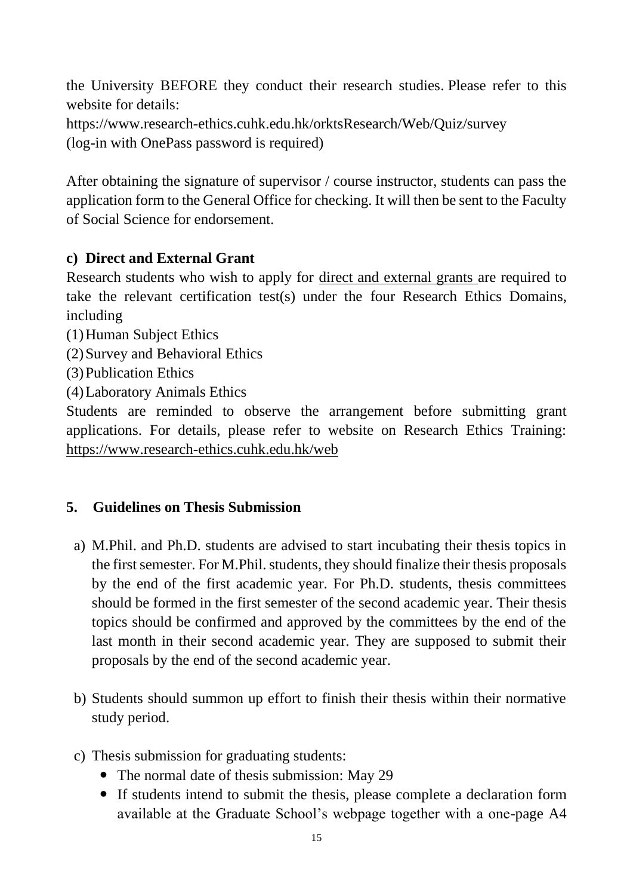the University BEFORE they conduct their research studies. Please refer to this website for details: <https://www.research-ethics.cuhk.edu.hk/orktsResearch/Web/Quiz/survey>

(log-in with OnePass password is required)

After obtaining the signature of supervisor / course instructor, students can pass the application form to the General Office for checking. It will then be sent to the Faculty of Social Science for endorsement.

## **c) Direct and External Grant**

Research students who wish to apply for direct and external grants are required to take the relevant certification test(s) under the four Research Ethics Domains, including

- (1)Human Subject Ethics
- (2)Survey and Behavioral Ethics
- (3)Publication Ethics
- (4)Laboratory Animals Ethics

Students are reminded to observe the arrangement before submitting grant applications. For details, please refer to website on Research Ethics Training: [https://www.research-ethics.cuhk.edu.hk/web](https://www.research-ethics.cuhk.edu.hk/web/)

## **5. Guidelines on Thesis Submission**

- a) M.Phil. and Ph.D. students are advised to start incubating their thesis topics in the first semester. For M.Phil. students, they should finalize their thesis proposals by the end of the first academic year. For Ph.D. students, thesis committees should be formed in the first semester of the second academic year. Their thesis topics should be confirmed and approved by the committees by the end of the last month in their second academic year. They are supposed to submit their proposals by the end of the second academic year.
- b) Students should summon up effort to finish their thesis within their normative study period.
- c) Thesis submission for graduating students:
	- The normal date of thesis submission: May 29
	- If students intend to submit the thesis, please complete a declaration form available at the Graduate School's webpage together with a one-page A4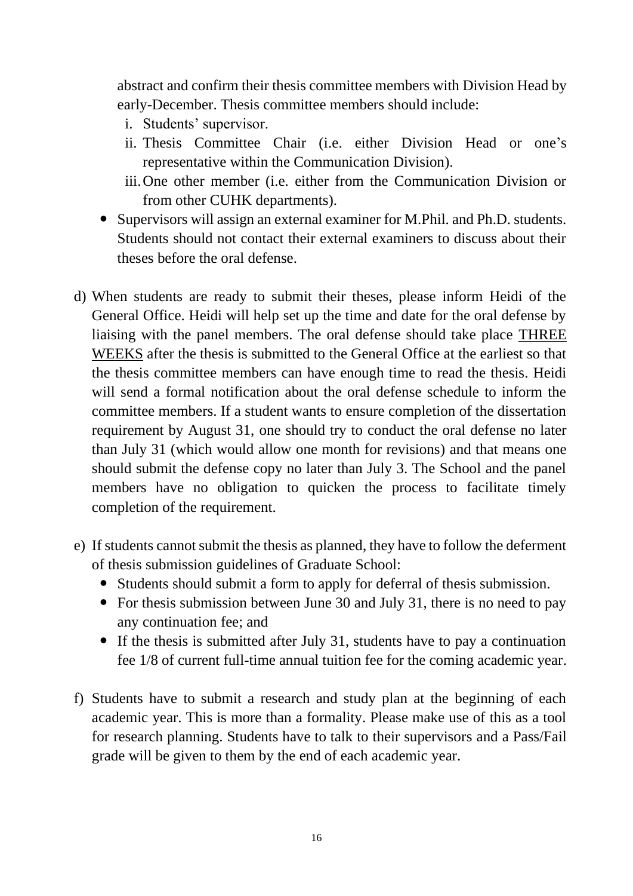abstract and confirm their thesis committee members with Division Head by early-December. Thesis committee members should include:

- i. Students' supervisor.
- ii. Thesis Committee Chair (i.e. either Division Head or one's representative within the Communication Division).
- iii.One other member (i.e. either from the Communication Division or from other CUHK departments).
- Supervisors will assign an external examiner for M.Phil. and Ph.D. students. Students should not contact their external examiners to discuss about their theses before the oral defense.
- d) When students are ready to submit their theses, please inform Heidi of the General Office. Heidi will help set up the time and date for the oral defense by liaising with the panel members. The oral defense should take place THREE WEEKS after the thesis is submitted to the General Office at the earliest so that the thesis committee members can have enough time to read the thesis. Heidi will send a formal notification about the oral defense schedule to inform the committee members. If a student wants to ensure completion of the dissertation requirement by August 31, one should try to conduct the oral defense no later than July 31 (which would allow one month for revisions) and that means one should submit the defense copy no later than July 3. The School and the panel members have no obligation to quicken the process to facilitate timely completion of the requirement.
- e) If students cannot submit the thesis as planned, they have to follow the deferment of thesis submission guidelines of Graduate School:
	- Students should submit a form to apply for deferral of thesis submission.
	- For thesis submission between June 30 and July 31, there is no need to pay any continuation fee; and
	- If the thesis is submitted after July 31, students have to pay a continuation fee 1/8 of current full-time annual tuition fee for the coming academic year.
- f) Students have to submit a research and study plan at the beginning of each academic year. This is more than a formality. Please make use of this as a tool for research planning. Students have to talk to their supervisors and a Pass/Fail grade will be given to them by the end of each academic year.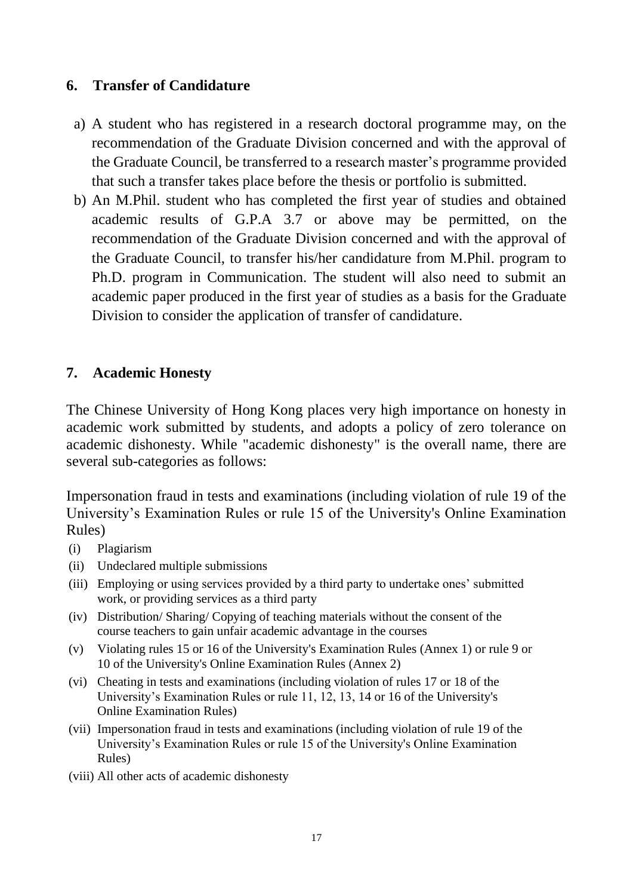#### **6. Transfer of Candidature**

- a) A student who has registered in a research doctoral programme may, on the recommendation of the Graduate Division concerned and with the approval of the Graduate Council, be transferred to a research master's programme provided that such a transfer takes place before the thesis or portfolio is submitted.
- b) An M.Phil. student who has completed the first year of studies and obtained academic results of G.P.A 3.7 or above may be permitted, on the recommendation of the Graduate Division concerned and with the approval of the Graduate Council, to transfer his/her candidature from M.Phil. program to Ph.D. program in Communication. The student will also need to submit an academic paper produced in the first year of studies as a basis for the Graduate Division to consider the application of transfer of candidature.

#### **7. Academic Honesty**

The Chinese University of Hong Kong places very high importance on honesty in academic work submitted by students, and adopts a policy of zero tolerance on academic dishonesty. While "academic dishonesty" is the overall name, there are several sub-categories as follows:

Impersonation fraud in tests and examinations (including violation of rule 19 of the University's Examination Rules or rule 15 of the University's Online Examination Rules)

- (i) Plagiarism
- (ii) Undeclared multiple submissions
- (iii) Employing or using services provided by a third party to undertake ones' submitted work, or providing services as a third party
- (iv) Distribution/ Sharing/ Copying of teaching materials without the consent of the course teachers to gain unfair academic advantage in the courses
- (v) Violating rules 15 or 16 of the University's Examination Rules [\(Annex 1\)](http://www.cuhk.edu.hk/policy/academichonesty/Eng_htm_files_(2013-14)/Annex%201_en.pdf) or rule 9 or 10 of the University's Online Examination Rules [\(Annex 2\)](http://www.cuhk.edu.hk/policy/academichonesty/Eng_htm_files_(2013-14)/Annex%202_en.pdf)
- (vi) Cheating in tests and examinations (including violation of rules 17 or 18 of the University's Examination Rules or rule 11, 12, 13, 14 or 16 of the University's Online Examination Rules)
- (vii) Impersonation fraud in tests and examinations (including violation of rule 19 of the University's Examination Rules or rule 15 of the University's Online Examination Rules)
- (viii) All other acts of academic dishonesty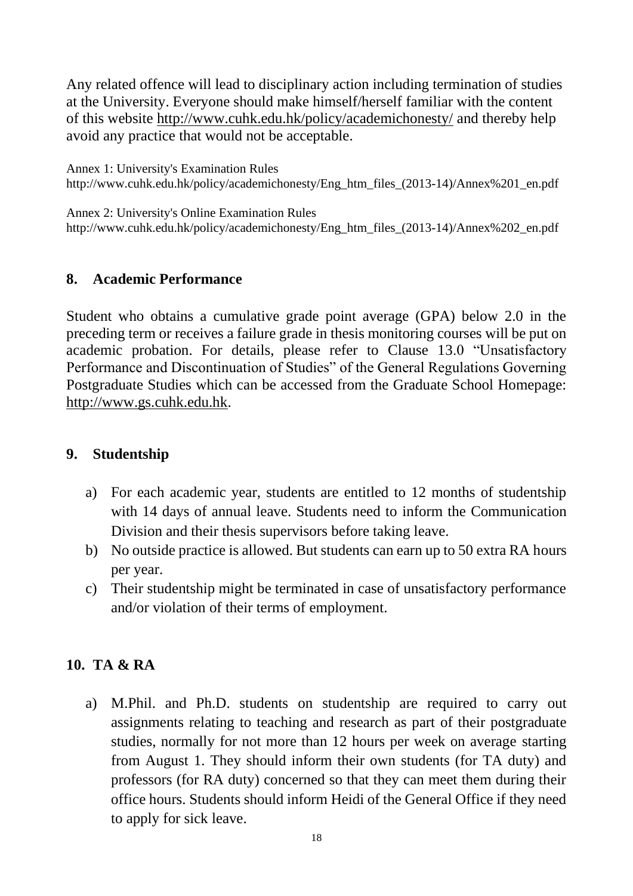Any related offence will lead to disciplinary action including termination of studies at the University. Everyone should make himself/herself familiar with the content of this website<http://www.cuhk.edu.hk/policy/academichonesty/> and thereby help avoid any practice that would not be acceptable.

[Annex 1:](http://www.cuhk.edu.hk/policy/academichonesty/Eng_htm_files_(2013-14)/Annex%201_en.pdf) University's Examination Rules http://www.cuhk.edu.hk/policy/academichonesty/Eng\_htm\_files\_(2013-14)/Annex%201\_en.pdf

[Annex 2:](http://www.cuhk.edu.hk/policy/academichonesty/Eng_htm_files_(2013-14)/Annex%202_en.pdf) University's Online Examination Rules http://www.cuhk.edu.hk/policy/academichonesty/Eng\_htm\_files\_(2013-14)/Annex%202\_en.pdf

#### **8. Academic Performance**

Student who obtains a cumulative grade point average (GPA) below 2.0 in the preceding term or receives a failure grade in thesis monitoring courses will be put on academic probation. For details, please refer to Clause 13.0 "Unsatisfactory Performance and Discontinuation of Studies" of the General Regulations Governing Postgraduate Studies which can be accessed from the Graduate School Homepage: [http://www.gs.cuhk.edu.hk.](http://www.gs.cuhk.edu.hk/)

#### **9. Studentship**

- a) For each academic year, students are entitled to 12 months of studentship with 14 days of annual leave. Students need to inform the Communication Division and their thesis supervisors before taking leave.
- b) No outside practice is allowed. But students can earn up to 50 extra RA hours per year.
- c) Their studentship might be terminated in case of unsatisfactory performance and/or violation of their terms of employment.

## **10. TA & RA**

a) M.Phil. and Ph.D. students on studentship are required to carry out assignments relating to teaching and research as part of their postgraduate studies, normally for not more than 12 hours per week on average starting from August 1. They should inform their own students (for TA duty) and professors (for RA duty) concerned so that they can meet them during their office hours. Students should inform Heidi of the General Office if they need to apply for sick leave.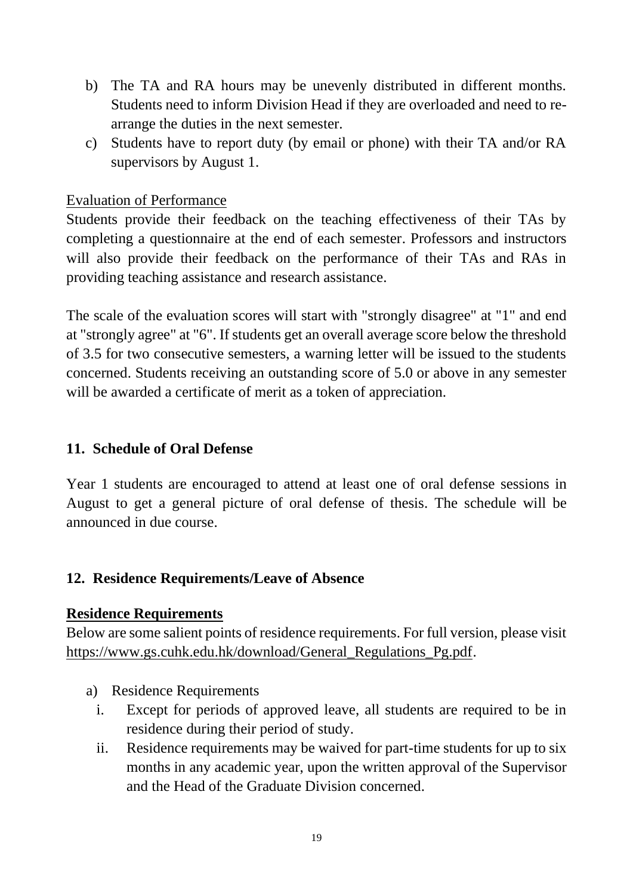- b) The TA and RA hours may be unevenly distributed in different months. Students need to inform Division Head if they are overloaded and need to rearrange the duties in the next semester.
- c) Students have to report duty (by email or phone) with their TA and/or RA supervisors by August 1.

#### Evaluation of Performance

Students provide their feedback on the teaching effectiveness of their TAs by completing a questionnaire at the end of each semester. Professors and instructors will also provide their feedback on the performance of their TAs and RAs in providing teaching assistance and research assistance.

The scale of the evaluation scores will start with "strongly disagree" at "1" and end at "strongly agree" at "6". If students get an overall average score below the threshold of 3.5 for two consecutive semesters, a warning letter will be issued to the students concerned. Students receiving an outstanding score of 5.0 or above in any semester will be awarded a certificate of merit as a token of appreciation.

## **11. Schedule of Oral Defense**

Year 1 students are encouraged to attend at least one of oral defense sessions in August to get a general picture of oral defense of thesis. The schedule will be announced in due course.

## **12. Residence Requirements/Leave of Absence**

## **Residence Requirements**

Below are some salient points of residence requirements. For full version, please visit [https://www.gs.cuhk.edu.hk/download/General\\_Regulations\\_Pg.pdf.](https://www.gs.cuhk.edu.hk/download/General_Regulations_Pg.pdf)

- a) Residence Requirements
	- i. Except for periods of approved leave, all students are required to be in residence during their period of study.
	- ii. Residence requirements may be waived for part-time students for up to six months in any academic year, upon the written approval of the Supervisor and the Head of the Graduate Division concerned.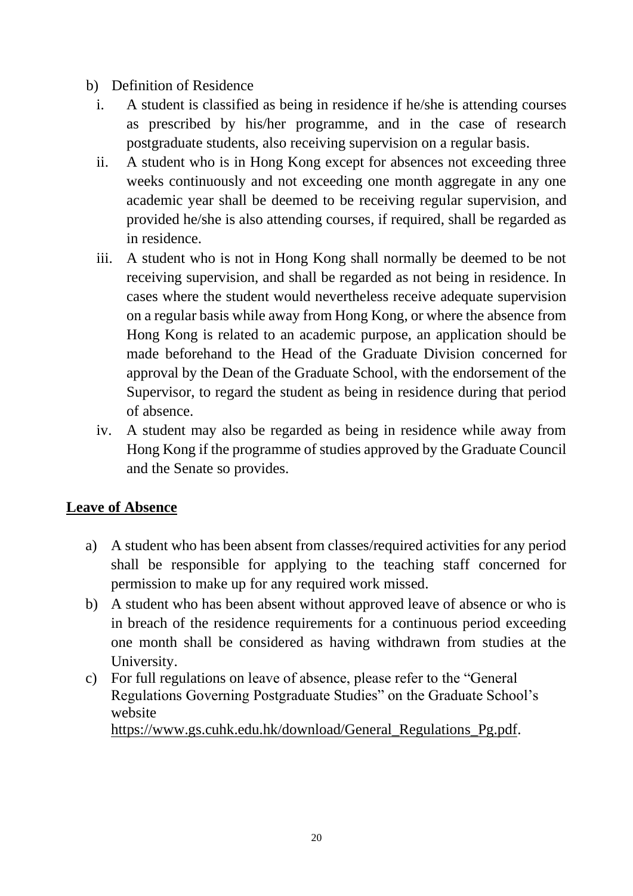- b) Definition of Residence
	- i. A student is classified as being in residence if he/she is attending courses as prescribed by his/her programme, and in the case of research postgraduate students, also receiving supervision on a regular basis.
	- ii. A student who is in Hong Kong except for absences not exceeding three weeks continuously and not exceeding one month aggregate in any one academic year shall be deemed to be receiving regular supervision, and provided he/she is also attending courses, if required, shall be regarded as in residence.
	- iii. A student who is not in Hong Kong shall normally be deemed to be not receiving supervision, and shall be regarded as not being in residence. In cases where the student would nevertheless receive adequate supervision on a regular basis while away from Hong Kong, or where the absence from Hong Kong is related to an academic purpose, an application should be made beforehand to the Head of the Graduate Division concerned for approval by the Dean of the Graduate School, with the endorsement of the Supervisor, to regard the student as being in residence during that period of absence.
	- iv. A student may also be regarded as being in residence while away from Hong Kong if the programme of studies approved by the Graduate Council and the Senate so provides.

## **Leave of Absence**

- a) A student who has been absent from classes/required activities for any period shall be responsible for applying to the teaching staff concerned for permission to make up for any required work missed.
- b) A student who has been absent without approved leave of absence or who is in breach of the residence requirements for a continuous period exceeding one month shall be considered as having withdrawn from studies at the University.
- c) For full regulations on leave of absence, please refer to the "General Regulations Governing Postgraduate Studies" on the Graduate School's website

[https://www.gs.cuhk.edu.hk/download/General\\_Regulations\\_Pg.pdf.](https://www.gs.cuhk.edu.hk/download/General_Regulations_Pg.pdf)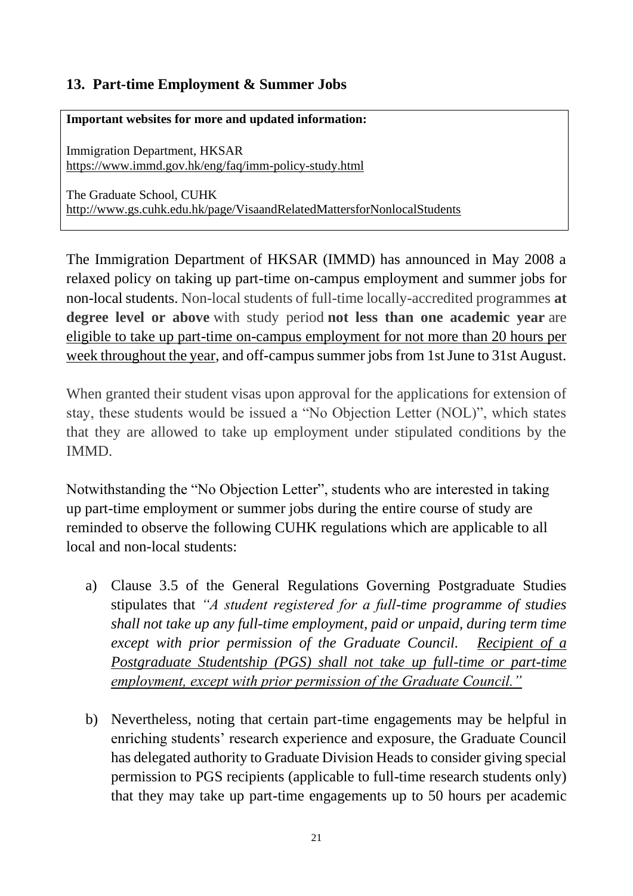## **13. Part-time Employment & Summer Jobs**

**Important websites for more and updated information:**

Immigration Department, HKSAR <https://www.immd.gov.hk/eng/faq/imm-policy-study.html>

The Graduate School, CUHK <http://www.gs.cuhk.edu.hk/page/VisaandRelatedMattersforNonlocalStudents>

The Immigration Department of HKSAR (IMMD) has announced in May 2008 a relaxed policy on taking up part-time on-campus employment and summer jobs for non-local students. Non-local students of full-time locally-accredited programmes **at degree level or above** with study period **not less than one academic year** are eligible to take up part-time on-campus employment for not more than 20 hours per week throughout the year, and off-campus summer jobs from 1st June to 31st August.

When granted their student visas upon approval for the applications for extension of stay, these students would be issued a "No Objection Letter (NOL)", which states that they are allowed to take up employment under stipulated conditions by the IMMD.

Notwithstanding the "No Objection Letter", students who are interested in taking up part-time employment or summer jobs during the entire course of study are reminded to observe the following CUHK regulations which are applicable to all local and non-local students:

- a) Clause 3.5 of the General Regulations Governing Postgraduate Studies stipulates that *"A student registered for a full-time programme of studies shall not take up any full-time employment, paid or unpaid, during term time except with prior permission of the Graduate Council. Recipient of a Postgraduate Studentship (PGS) shall not take up full-time or part-time employment, except with prior permission of the Graduate Council."*
- b) Nevertheless, noting that certain part-time engagements may be helpful in enriching students' research experience and exposure, the Graduate Council has delegated authority to Graduate Division Heads to consider giving special permission to PGS recipients (applicable to full-time research students only) that they may take up part-time engagements up to 50 hours per academic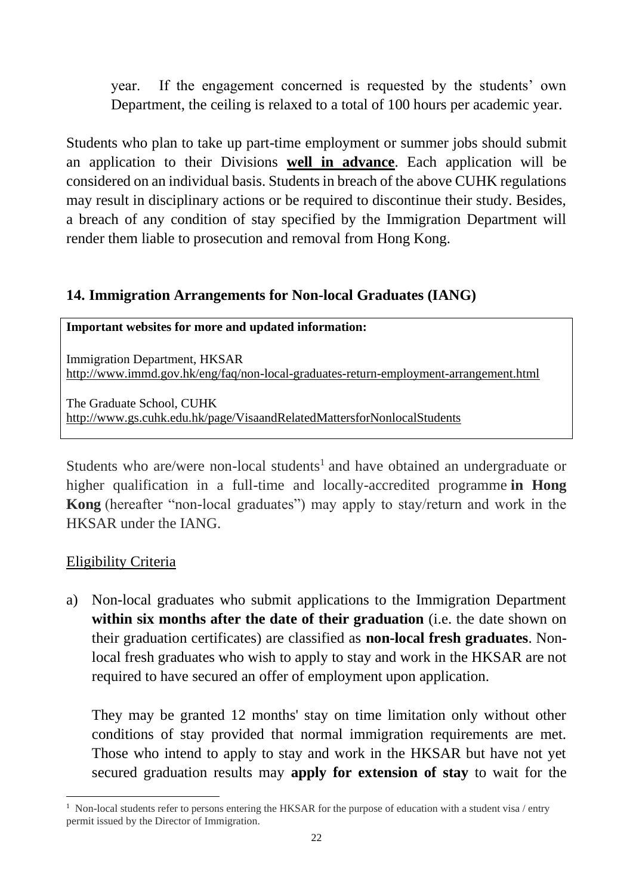year. If the engagement concerned is requested by the students' own Department, the ceiling is relaxed to a total of 100 hours per academic year.

Students who plan to take up part-time employment or summer jobs should submit an application to their Divisions **well in advance**. Each application will be considered on an individual basis. Studentsin breach of the above CUHK regulations may result in disciplinary actions or be required to discontinue their study. Besides, a breach of any condition of stay specified by the Immigration Department will render them liable to prosecution and removal from Hong Kong.

#### **14. Immigration Arrangements for Non-local Graduates (IANG)**

#### **Important websites for more and updated information:**

Immigration Department, HKSAR <http://www.immd.gov.hk/eng/faq/non-local-graduates-return-employment-arrangement.html>

The Graduate School, CUHK <http://www.gs.cuhk.edu.hk/page/VisaandRelatedMattersforNonlocalStudents>

Students who are/were non-local students<sup>1</sup> and have obtained an undergraduate or higher qualification in a full-time and locally-accredited programme **in Hong Kong** (hereafter "non-local graduates") may apply to stay/return and work in the HKSAR under the IANG.

## Eligibility Criteria

a) Non-local graduates who submit applications to the Immigration Department **within six months after the date of their graduation** (i.e. the date shown on their graduation certificates) are classified as **non-local fresh graduates**. Nonlocal fresh graduates who wish to apply to stay and work in the HKSAR are not required to have secured an offer of employment upon application.

They may be granted 12 months' stay on time limitation only without other conditions of stay provided that normal immigration requirements are met. Those who intend to apply to stay and work in the HKSAR but have not yet secured graduation results may **apply for extension of stay** to wait for the

<sup>&</sup>lt;sup>1</sup> Non-local students refer to persons entering the HKSAR for the purpose of education with a student visa / entry permit issued by the Director of Immigration.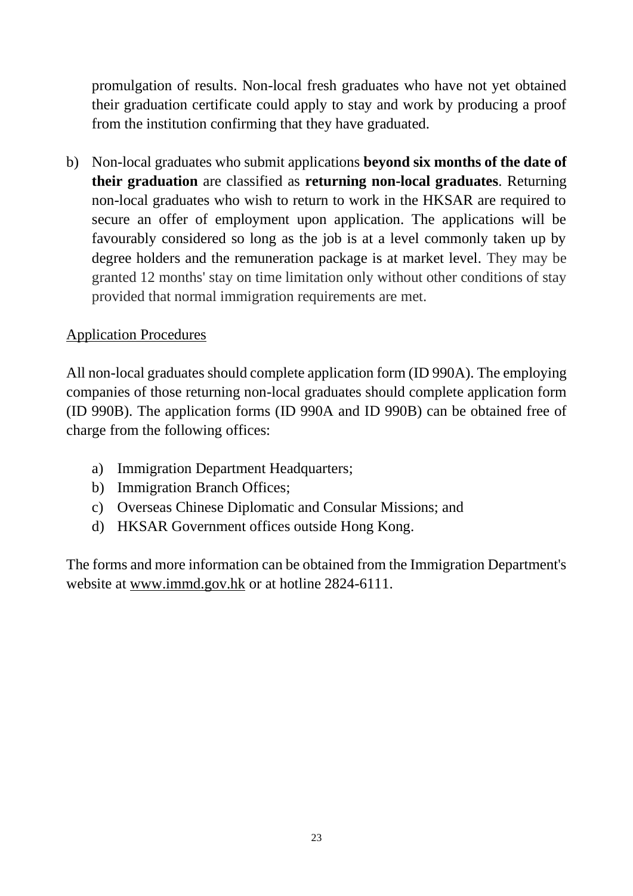promulgation of results. Non-local fresh graduates who have not yet obtained their graduation certificate could apply to stay and work by producing a proof from the institution confirming that they have graduated.

b) Non-local graduates who submit applications **beyond six months of the date of their graduation** are classified as **returning non-local graduates**. Returning non-local graduates who wish to return to work in the HKSAR are required to secure an offer of employment upon application. The applications will be favourably considered so long as the job is at a level commonly taken up by degree holders and the remuneration package is at market level. They may be granted 12 months' stay on time limitation only without other conditions of stay provided that normal immigration requirements are met.

## Application Procedures

All non-local graduates should complete application form [\(ID 990A\)](file:///C:/Users/user/AppData/Local/Microsoft/Windows/user/AppData/Local/Microsoft/Windows/user/AppData/Local/Microsoft/Windows/Janet%20Lau/TPG/user/Local%20Settings/Temp/id990a.htm). The employing companies of those returning non-local graduates should complete application form [\(ID 990B\)](file:///C:/Users/user/AppData/Local/Microsoft/Windows/user/AppData/Local/Microsoft/Windows/user/AppData/Local/Microsoft/Windows/Janet%20Lau/TPG/user/Local%20Settings/Temp/id990b.htm). The application forms [\(ID 990A](file:///C:/Users/user/AppData/Local/Microsoft/Windows/user/AppData/Local/Microsoft/Windows/user/AppData/Local/Microsoft/Windows/Janet%20Lau/TPG/user/Local%20Settings/Temp/id990a.htm) and [ID 990B\)](file:///C:/Users/user/AppData/Local/Microsoft/Windows/user/AppData/Local/Microsoft/Windows/user/AppData/Local/Microsoft/Windows/Janet%20Lau/TPG/user/Local%20Settings/Temp/id990b.htm) can be obtained free of charge from the following offices:

- a) Immigration Department Headquarters;
- b) Immigration Branch Offices;
- c) Overseas Chinese Diplomatic and Consular Missions; and
- d) HKSAR Government offices outside Hong Kong.

The forms and more information can be obtained from the Immigration Department's website at [www.immd.gov.hk](http://www.immd.gov.hk/) or at hotline 2824-6111.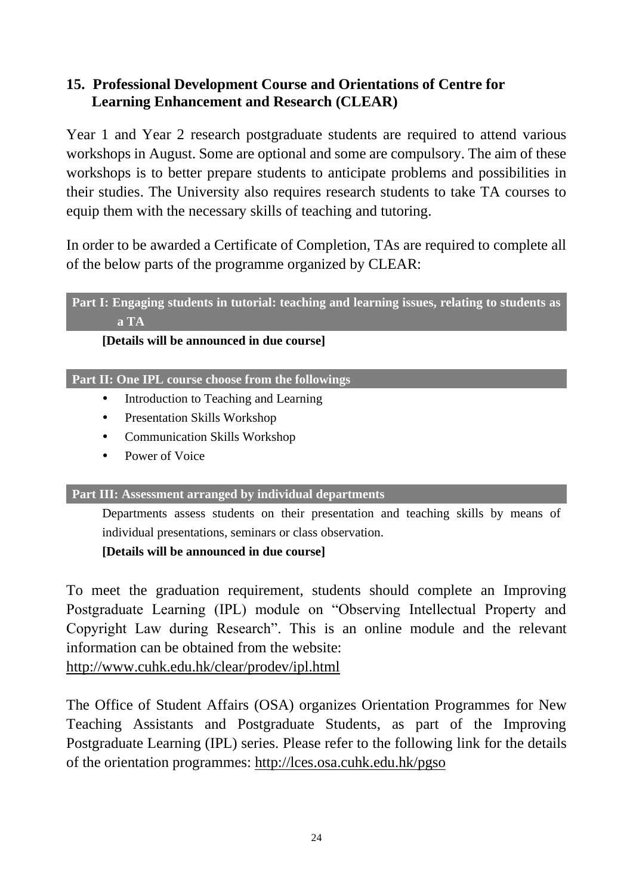## **15. Professional Development Course and Orientations of Centre for Learning Enhancement and Research (CLEAR)**

Year 1 and Year 2 research postgraduate students are required to attend various workshops in August. Some are optional and some are compulsory. The aim of these workshops is to better prepare students to anticipate problems and possibilities in their studies. The University also requires research students to take TA courses to equip them with the necessary skills of teaching and tutoring.

In order to be awarded a Certificate of Completion, TAs are required to complete all of the below parts of the programme organized by CLEAR:

#### **Part I: Engaging students in tutorial: teaching and learning issues, relating to students as a TA**

#### **[Details will be announced in due course]**

#### **Part II: One IPL course choose from the followings**

- Introduction to Teaching and Learning
- Presentation Skills Workshop
- Communication Skills Workshop
- Power of Voice

#### **Part III: Assessment arranged by individual departments**

Departments assess students on their presentation and teaching skills by means of individual presentations, seminars or class observation.

#### **[Details will be announced in due course]**

To meet the graduation requirement, students should complete an Improving Postgraduate Learning (IPL) module on "Observing Intellectual Property and Copyright Law during Research". This is an online module and the relevant information can be obtained from the website:

<http://www.cuhk.edu.hk/clear/prodev/ipl.html>

The Office of Student Affairs (OSA) organizes Orientation Programmes for New Teaching Assistants and Postgraduate Students, as part of the Improving Postgraduate Learning (IPL) series. Please refer to the following link for the details of the orientation programmes:<http://lces.osa.cuhk.edu.hk/pgso>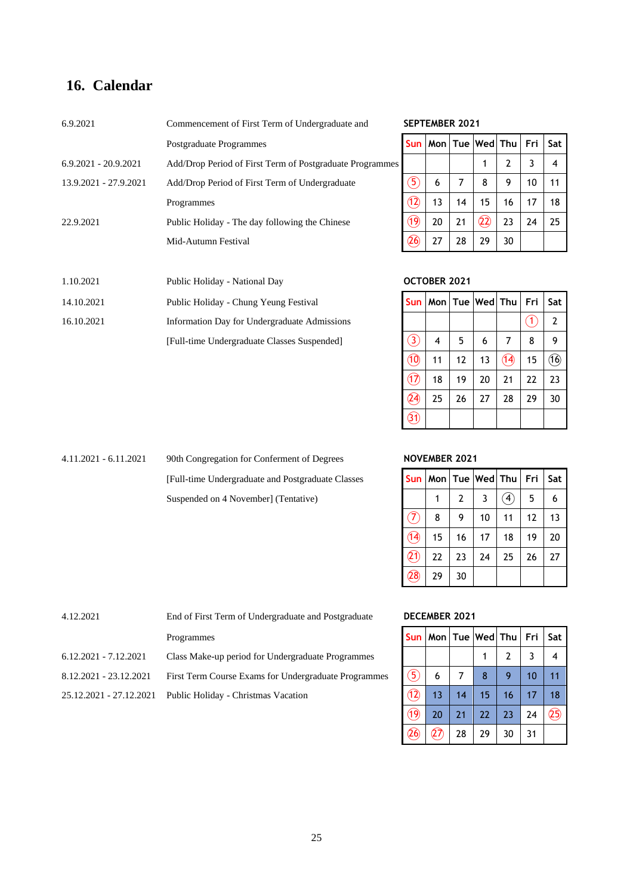#### **16. Calendar**

| 6.9.2021<br>Commencement of First Term of Undergraduate and<br><b>Sun</b><br>Postgraduate Programmes<br>$6.9.2021 - 20.9.2021$<br>Add/Drop Period of First Term of Postgraduate Programmes<br>5<br>6<br>13.9.2021 - 27.9.2021<br>Add/Drop Period of First Term of Undergraduate<br>(12)<br>13<br>Programmes<br>(19)<br>22.9.2021<br>Public Holiday - The day following the Chinese<br>Mid-Autumn Festival |                               | <b>SEPTEMBER 2021</b> |              |    |                             |    |    |                |
|-----------------------------------------------------------------------------------------------------------------------------------------------------------------------------------------------------------------------------------------------------------------------------------------------------------------------------------------------------------------------------------------------------------|-------------------------------|-----------------------|--------------|----|-----------------------------|----|----|----------------|
|                                                                                                                                                                                                                                                                                                                                                                                                           |                               |                       |              |    | Mon   Tue   Wed   Thu   Fri |    |    | Sat            |
|                                                                                                                                                                                                                                                                                                                                                                                                           |                               |                       |              |    |                             | 2  | 3  | $\overline{4}$ |
|                                                                                                                                                                                                                                                                                                                                                                                                           |                               |                       |              |    | 8                           | 9  | 10 | 11             |
|                                                                                                                                                                                                                                                                                                                                                                                                           |                               |                       |              | 14 | 15                          | 16 | 17 | 18             |
|                                                                                                                                                                                                                                                                                                                                                                                                           |                               |                       | 20           | 21 | $\widehat{22}$              | 23 | 24 | 25             |
|                                                                                                                                                                                                                                                                                                                                                                                                           |                               | (26)                  | 27           | 28 | 29                          | 30 |    |                |
|                                                                                                                                                                                                                                                                                                                                                                                                           |                               |                       |              |    |                             |    |    |                |
| 1.10.2021                                                                                                                                                                                                                                                                                                                                                                                                 | Public Holiday - National Day |                       | OCTOBER 2021 |    |                             |    |    |                |

14.10.2021 Public Holiday - Chung Yeung Festival 16.10.2021 Information Day for Undergraduate Admissions [Full-time Undergraduate Classes Suspended]

#### SEPTEMBER 2021

| <b>Sun</b>    |    |    | Mon   Tue   Wed   Thu |              | Fri | Sat |
|---------------|----|----|-----------------------|--------------|-----|-----|
|               |    |    |                       | $\mathbf{2}$ | 3   | 4   |
| $\circled{5}$ | 6  | 7  | 8                     | 9            | 10  | 11  |
| (12)          | 13 | 14 | 15                    | 16           | 17  | 18  |
| (19)          | 20 | 21 | (2)                   | 23           | 24  | 25  |
| 26)           | 27 | 28 | 29                    | 30           |     |     |

#### 1.10.2021 Public Holiday - National Day **OCTOBER 2021**

|                |    |    | Sun   Mon   Tue   Wed   Thu |      | Fri | Sat  |
|----------------|----|----|-----------------------------|------|-----|------|
|                |    |    |                             |      | 1   | 2    |
| 3,             | 4  | 5  | 6                           | 7    | 8   | 9    |
| $\circledA$    | 11 | 12 | 13                          | (14) | 15  | (16) |
| $\overline{1}$ | 18 | 19 | 20                          | 21   | 22  | 23   |
| 24             | 25 | 26 | 27                          | 28   | 29  | 30   |
| 31             |    |    |                             |      |     |      |

4.11.2021 - 6.11.2021 90th Congregation for Conferment of Degrees **NOVEMBER 2021 [Full-time Undergraduate and Postgraduate Classes** Suspended on 4 November] (Tentative)

| Sun             | Mon   Tue   Wed   Thu |              |    |                  | Fri | Sat I |
|-----------------|-----------------------|--------------|----|------------------|-----|-------|
|                 | 1                     | $\mathbf{2}$ | 3  | $\mathbf{A}_{i}$ | 5   | 6     |
| $(\mathcal{T})$ | 8                     | 9            | 10 | 11               | 12  | 13    |
| 14)             | 15                    | 16           | 17 | 18               | 19  | 20    |
| 21)             | 22                    | 23           | 24 | 25               | 26  | 27    |
| 28              | 29                    | 30           |    |                  |     |       |

#### DECEMBER 2021

|                   |     |    | Sun   Mon   Tue   Wed   Thu |    | Fri | Sat I |
|-------------------|-----|----|-----------------------------|----|-----|-------|
|                   |     |    |                             | 2  | 3   |       |
| $\overline{5}$    | 6   | 7  | 8                           | 9  | 10  | 11    |
| $\left( 1\right)$ | 13  | 14 | 15                          | 16 | 17  | 18    |
| (19)              | 20  | 21 | 22                          | 23 | 24  | 25    |
| 26)               | 27) | 28 | 29                          | 30 | 31  |       |

| 4.12.2021               | <b>DECEMBER 2021</b>                                 |               |                                   |  |    |  |  |                |
|-------------------------|------------------------------------------------------|---------------|-----------------------------------|--|----|--|--|----------------|
|                         | Programmes                                           |               | Sun   Mon   Tue   Wed   Thu   Fri |  |    |  |  | Sat            |
| $6.12.2021 - 7.12.2021$ | Class Make-up period for Undergraduate Programmes    |               |                                   |  |    |  |  | $\overline{4}$ |
| 8.12.2021 - 23.12.2021  | First Term Course Exams for Undergraduate Programmes | $\mathcal{F}$ | 6                                 |  |    |  |  |                |
| 25.12.2021 - 27.12.2021 | Public Holiday - Christmas Vacation                  |               | 1 <sub>3</sub>                    |  | 15 |  |  | 18             |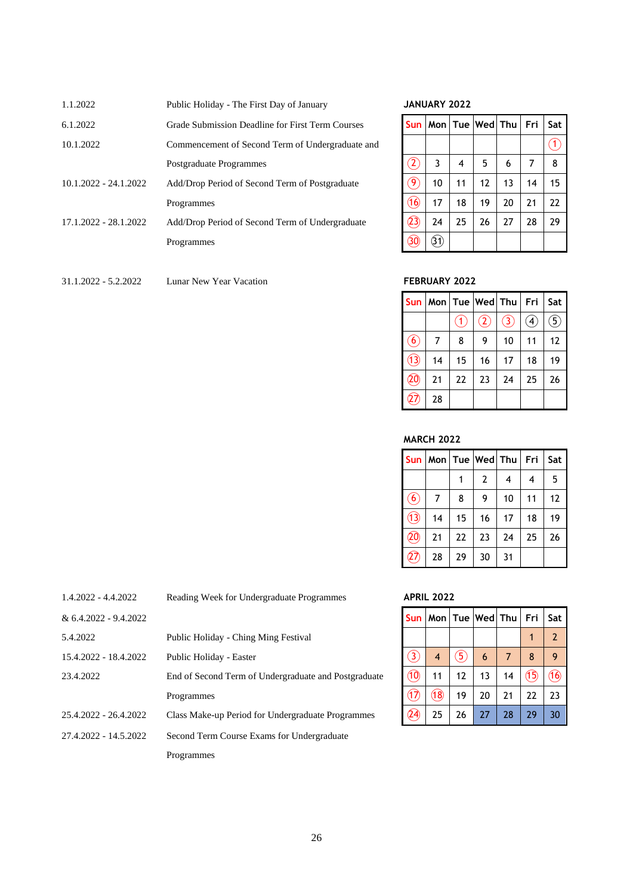| 1.1.2022                | Public Holiday - The First Day of January        |                                                     | <b>JANUARY 2022</b> |    |                             |    |    |     |
|-------------------------|--------------------------------------------------|-----------------------------------------------------|---------------------|----|-----------------------------|----|----|-----|
| 6.1.2022                | Grade Submission Deadline for First Term Courses | Sun l                                               |                     |    | Mon   Tue   Wed   Thu   Fri |    |    | Sat |
| 10.1.2022               | Commencement of Second Term of Undergraduate and |                                                     |                     |    |                             |    |    | (1) |
|                         | Postgraduate Programmes                          | $(\widehat{\mathbf{2}}% ,\widehat{\mathbf{2}}_{n})$ | 3                   | 4  | 5                           | 6  |    | -8  |
| $10.1.2022 - 24.1.2022$ | Add/Drop Period of Second Term of Postgraduate   | $\bigcirc$                                          | 10                  | 11 | 12                          | 13 | 14 | 15  |
|                         | Programmes                                       | (16)                                                | 17                  | 18 | 19                          | 20 | 21 | 22  |
| 17.1.2022 - 28.1.2022   | Add/Drop Period of Second Term of Undergraduate  | (23)                                                | 24                  | 25 | 26                          | 27 | 28 | 29  |
|                         | Programmes                                       | $\circled{30}$                                      | (3)                 |    |                             |    |    |     |
|                         |                                                  |                                                     |                     |    |                             |    |    |     |
|                         |                                                  |                                                     |                     |    |                             |    |    |     |

# 1.1.2022 Public Holiday - The First Day of January **JANUARY 2022**

|                                         |     |    | Sun   Mon   Tue   Wed   Thu   Fri |    |    | Sat          |
|-----------------------------------------|-----|----|-----------------------------------|----|----|--------------|
|                                         |     |    |                                   |    |    | $\mathbf{1}$ |
| $\left( 2\right)$                       | 3   | 4  | 5                                 | 6  | 7  | 8            |
| $\left( \widehat{ \mathbf{9} } \right)$ | 10  | 11 | 12                                | 13 | 14 | 15           |
| ্তি                                     | 17  | 18 | 19                                | 20 | 21 | 22           |
| (23)                                    | 24  | 25 | 26                                | 27 | 28 | 29           |
| 30                                      | 31) |    |                                   |    |    |              |

#### 31.1.2022 - 5.2.2022 Lunar New Year Vacation **FEBRUARY 2022**

|                   |    |                   | Sun   Mon   Tue   Wed   Thu   Fri |               |                   | Sat              |
|-------------------|----|-------------------|-----------------------------------|---------------|-------------------|------------------|
|                   |    | $\left( 1\right)$ | $\mathcal{L}_{2}$                 | $\circled{3}$ | $\left( 4\right)$ | $\left(5\right)$ |
| $\left( 6\right)$ | 7  | 8                 | 9                                 | 10            | 11                | 12               |
| (13)              | 14 | 15                | 16                                | 17            | 18                | 19               |
| $\overline{20}$   | 21 | 22                | 23                                | 24            | 25                | 26               |
| 27,               | 28 |                   |                                   |               |                   |                  |

#### **MARCH 2022**

| <b>Sun</b>        |    |    | Mon   Tue   Wed   Thu |    | Fri | Sat |
|-------------------|----|----|-----------------------|----|-----|-----|
|                   |    |    | 2                     | 4  | 4   | 5   |
| $\left( 6\right)$ | 7  | 8  | 9                     | 10 | 11  | 12  |
| $\circled{1}$     | 14 | 15 | 16                    | 17 | 18  | 19  |
| 20)               | 21 | 22 | 23                    | 24 | 25  | 26  |
| $\widehat{27}$    | 28 | 29 | 30                    | 31 |     |     |

#### 1.4.2022 - 4.4.2022 Reading Week for Undergraduate Programmes **APRIL 2022**

| Sun                          |      |    | Mon   Tue   Wed   Thu |    | Fri  | Sat            |
|------------------------------|------|----|-----------------------|----|------|----------------|
|                              |      |    |                       |    | 1    | $\overline{2}$ |
| $\bigcirc$                   | 4    | 5) | 6                     | 7  | 8    | 9              |
| $\circledcirc$               | 11   | 12 | 13                    | 14 | (15) | 16)            |
| $(\hspace{-1.5pt}\sqrt{17})$ | (18) | 19 | 20                    | 21 | 22   | 23             |
| 24)                          | 25   | 26 | 27                    | 28 | 29   | 30             |

| $1.4.2022 - 4.4.2022$   | Reading Week for Undergraduate Programmes            |                | <b>APRIL 2022</b> |    |                 |    |      |              |
|-------------------------|------------------------------------------------------|----------------|-------------------|----|-----------------|----|------|--------------|
| $& 6.4.2022 - 9.4.2022$ |                                                      | <b>Sun</b>     | Mon l             |    | Tue Wed Thu Fri |    |      | Sat          |
| 5.4.2022                | Public Holiday - Ching Ming Festival                 |                |                   |    |                 |    |      | <sup>2</sup> |
| 15.4.2022 - 18.4.2022   | Public Holiday - Easter                              | 3              | 4                 | 5  | 6               |    | 8    | 9            |
| 23.4.2022               | End of Second Term of Undergraduate and Postgraduate | $\circledcirc$ | 11                | 12 | 13              | 14 | (15) | (16)         |
|                         | Programmes                                           | (17)           | (18)              | 19 | 20              | 21 | 22   | 23           |
| 25.4.2022 - 26.4.2022   | Class Make-up Period for Undergraduate Programmes    | (24)           | 25                | 26 | 27              | 28 | 29   | 30           |
| 27.4.2022 - 14.5.2022   | Second Term Course Exams for Undergraduate           |                |                   |    |                 |    |      |              |
|                         | Programmes                                           |                |                   |    |                 |    |      |              |